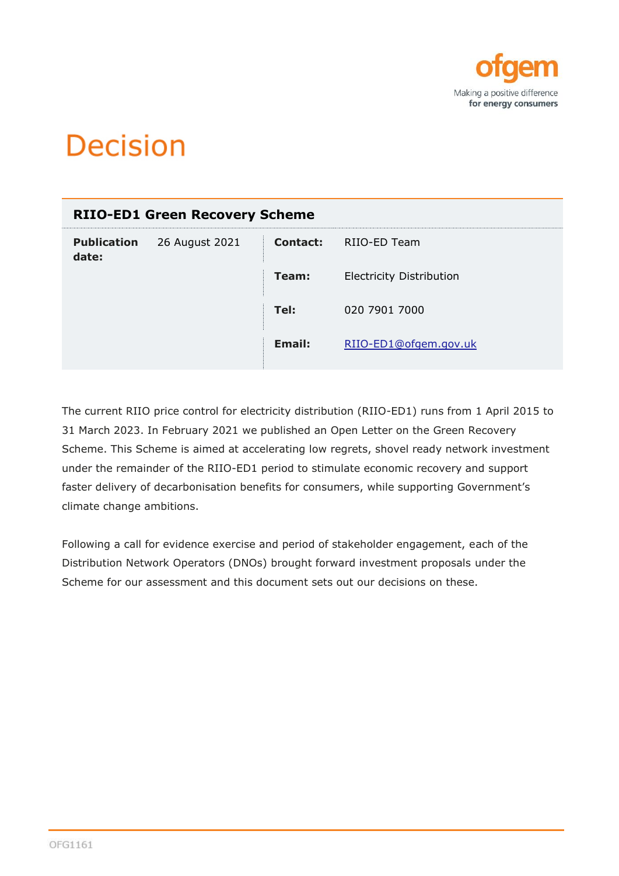

# **Decision**

| <b>RIIO-ED1 Green Recovery Scheme</b> |                |               |                                 |  |
|---------------------------------------|----------------|---------------|---------------------------------|--|
| <b>Publication</b><br>date:           | 26 August 2021 | Contact:      | RIIO-ED Team                    |  |
|                                       |                | Team:         | <b>Electricity Distribution</b> |  |
|                                       |                | Tel:          | 020 7901 7000                   |  |
|                                       |                | <b>Email:</b> | RIIO-ED1@ofgem.gov.uk           |  |
|                                       |                |               |                                 |  |

The current RIIO price control for electricity distribution (RIIO-ED1) runs from 1 April 2015 to 31 March 2023. In February 2021 we published an Open Letter on the Green Recovery Scheme. This Scheme is aimed at accelerating low regrets, shovel ready network investment under the remainder of the RIIO-ED1 period to stimulate economic recovery and support faster delivery of decarbonisation benefits for consumers, while supporting Government's climate change ambitions.

Following a call for evidence exercise and period of stakeholder engagement, each of the Distribution Network Operators (DNOs) brought forward investment proposals under the Scheme for our assessment and this document sets out our decisions on these.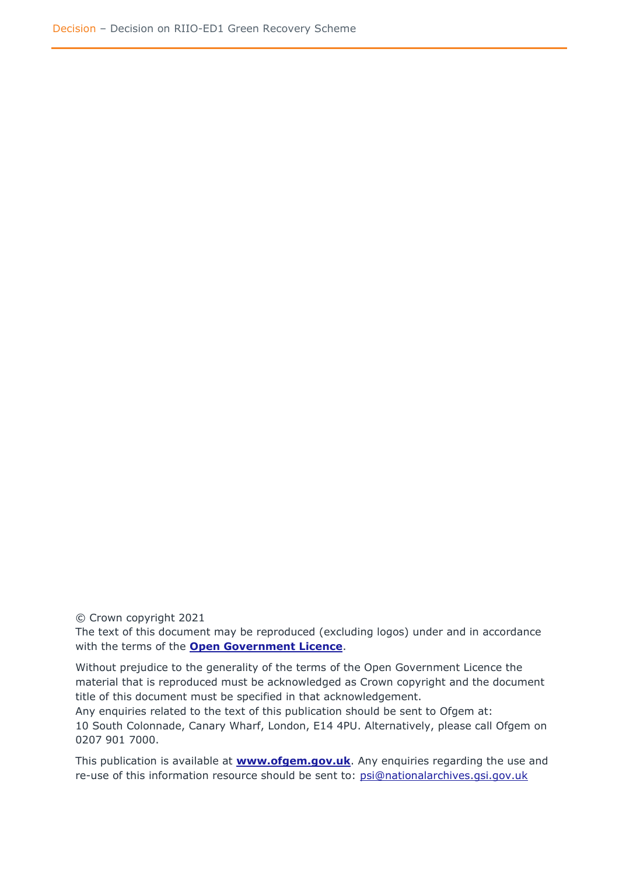© Crown copyright 2021

The text of this document may be reproduced (excluding logos) under and in accordance with the terms of the **[Open Government Licence](http://www.nationalarchives.gov.uk/doc/open-government-licence/version/3/)**.

Without prejudice to the generality of the terms of the Open Government Licence the material that is reproduced must be acknowledged as Crown copyright and the document title of this document must be specified in that acknowledgement.

Any enquiries related to the text of this publication should be sent to Ofgem at: 10 South Colonnade, Canary Wharf, London, E14 4PU. Alternatively, please call Ofgem on 0207 901 7000.

This publication is available at **[www.ofgem.gov.uk](http://www.ofgem.gov.uk/)**. Any enquiries regarding the use and re-use of this information resource should be sent to: [psi@nationalarchives.gsi.gov.uk](mailto:psi@nationalarchives.gsi.gov.uk)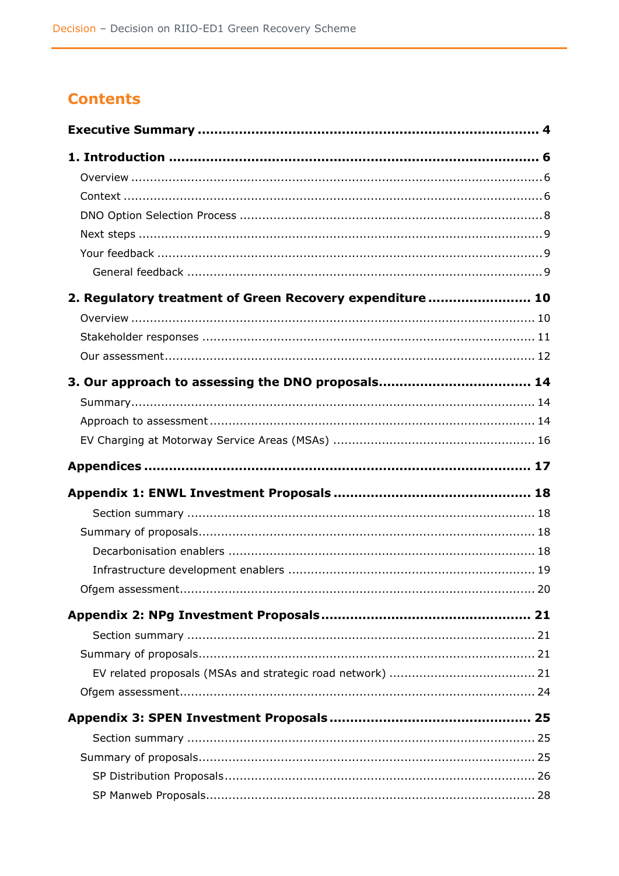# **Contents**

| 2. Regulatory treatment of Green Recovery expenditure  10 |  |
|-----------------------------------------------------------|--|
|                                                           |  |
|                                                           |  |
|                                                           |  |
|                                                           |  |
|                                                           |  |
|                                                           |  |
|                                                           |  |
|                                                           |  |
|                                                           |  |
|                                                           |  |
|                                                           |  |
|                                                           |  |
|                                                           |  |
|                                                           |  |
|                                                           |  |
|                                                           |  |
|                                                           |  |
|                                                           |  |
|                                                           |  |
|                                                           |  |
|                                                           |  |
|                                                           |  |
|                                                           |  |
|                                                           |  |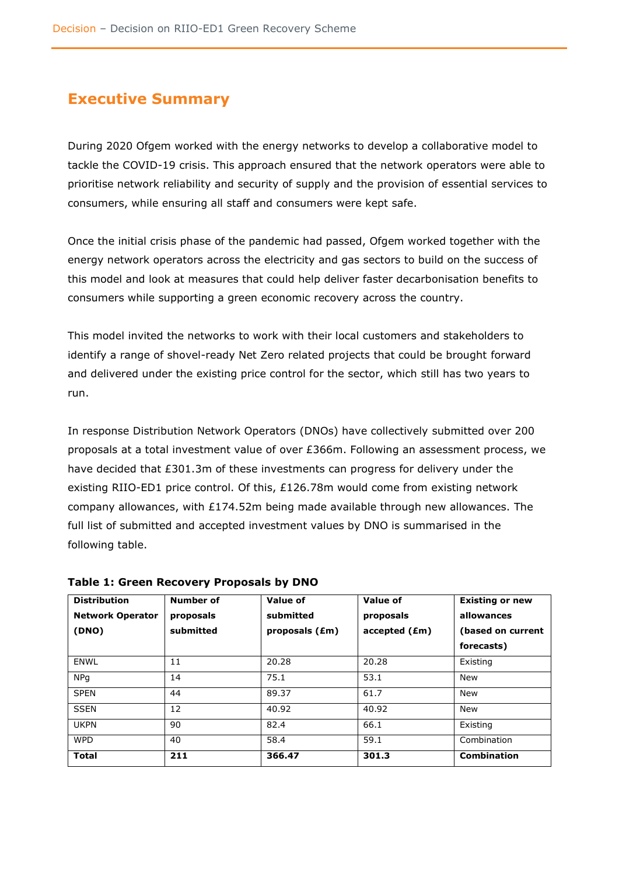# <span id="page-4-0"></span>**Executive Summary**

During 2020 Ofgem worked with the energy networks to develop a collaborative model to tackle the COVID-19 crisis. This approach ensured that the network operators were able to prioritise network reliability and security of supply and the provision of essential services to consumers, while ensuring all staff and consumers were kept safe.

Once the initial crisis phase of the pandemic had passed, Ofgem worked together with the energy network operators across the electricity and gas sectors to build on the success of this model and look at measures that could help deliver faster decarbonisation benefits to consumers while supporting a green economic recovery across the country.

This model invited the networks to work with their local customers and stakeholders to identify a range of shovel-ready Net Zero related projects that could be brought forward and delivered under the existing price control for the sector, which still has two years to run.

In response Distribution Network Operators (DNOs) have collectively submitted over 200 proposals at a total investment value of over £366m. Following an assessment process, we have decided that £301.3m of these investments can progress for delivery under the existing RIIO-ED1 price control. Of this, £126.78m would come from existing network company allowances, with £174.52m being made available through new allowances. The full list of submitted and accepted investment values by DNO is summarised in the following table.

| <b>Distribution</b>     | Number of | <b>Value of</b> | Value of      | <b>Existing or new</b> |
|-------------------------|-----------|-----------------|---------------|------------------------|
| <b>Network Operator</b> | proposals | submitted       | proposals     | allowances             |
| (DNO)                   | submitted | proposals (£m)  | accelted (Em) | (based on current      |
|                         |           |                 |               | forecasts)             |
| <b>ENWL</b>             | 11        | 20.28           | 20.28         | Existing               |
| <b>NPq</b>              | 14        | 75.1            | 53.1          | <b>New</b>             |
| <b>SPEN</b>             | 44        | 89.37           | 61.7          | <b>New</b>             |
| <b>SSEN</b>             | 12        | 40.92           | 40.92         | <b>New</b>             |
| <b>UKPN</b>             | 90        | 82.4            | 66.1          | Existing               |
| <b>WPD</b>              | 40        | 58.4            | 59.1          | Combination            |
| <b>Total</b>            | 211       | 366.47          | 301.3         | <b>Combination</b>     |

**Table 1: Green Recovery Proposals by DNO**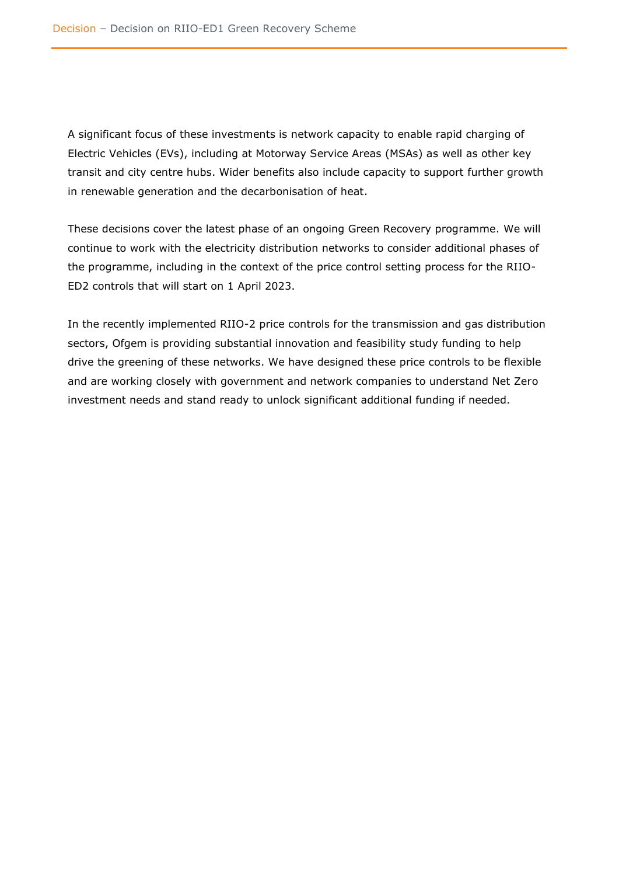A significant focus of these investments is network capacity to enable rapid charging of Electric Vehicles (EVs), including at Motorway Service Areas (MSAs) as well as other key transit and city centre hubs. Wider benefits also include capacity to support further growth in renewable generation and the decarbonisation of heat.

These decisions cover the latest phase of an ongoing Green Recovery programme. We will continue to work with the electricity distribution networks to consider additional phases of the programme, including in the context of the price control setting process for the RIIO-ED2 controls that will start on 1 April 2023.

In the recently implemented RIIO-2 price controls for the transmission and gas distribution sectors, Ofgem is providing substantial innovation and feasibility study funding to help drive the greening of these networks. We have designed these price controls to be flexible and are working closely with government and network companies to understand Net Zero investment needs and stand ready to unlock significant additional funding if needed.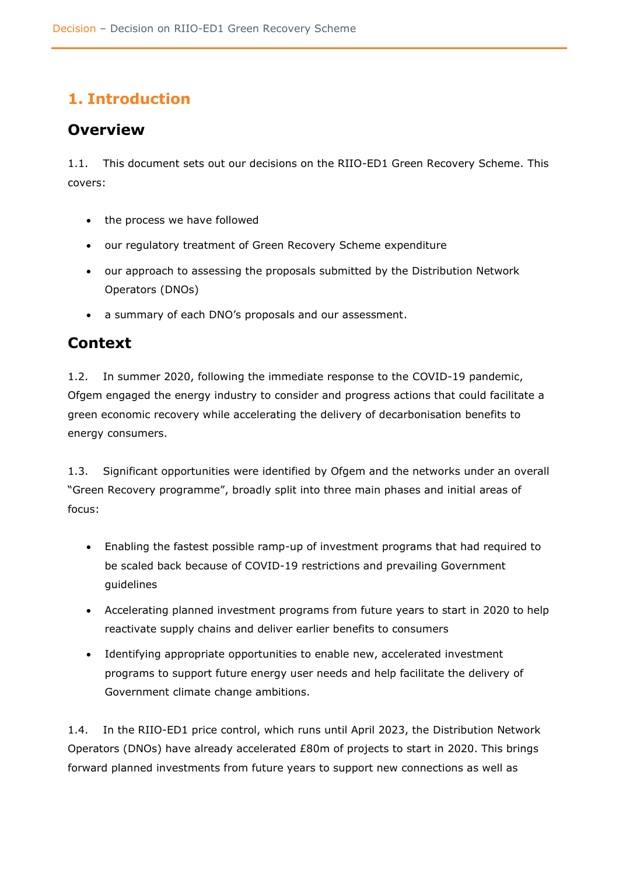# <span id="page-6-0"></span>**1. Introduction**

# <span id="page-6-1"></span>**Overview**

1.1. This document sets out our decisions on the RIIO-ED1 Green Recovery Scheme. This covers:

- the process we have followed
- our regulatory treatment of Green Recovery Scheme expenditure
- our approach to assessing the proposals submitted by the Distribution Network Operators (DNOs)
- a summary of each DNO's proposals and our assessment.

# <span id="page-6-2"></span>**Context**

1.2. In summer 2020, following the immediate response to the COVID-19 pandemic, Ofgem engaged the energy industry to consider and progress actions that could facilitate a green economic recovery while accelerating the delivery of decarbonisation benefits to energy consumers.

1.3. Significant opportunities were identified by Ofgem and the networks under an overall "Green Recovery programme", broadly split into three main phases and initial areas of focus:

- Enabling the fastest possible ramp-up of investment programs that had required to be scaled back because of COVID-19 restrictions and prevailing Government guidelines
- Accelerating planned investment programs from future years to start in 2020 to help reactivate supply chains and deliver earlier benefits to consumers
- Identifying appropriate opportunities to enable new, accelerated investment programs to support future energy user needs and help facilitate the delivery of Government climate change ambitions.

1.4. In the RIIO-ED1 price control, which runs until April 2023, the Distribution Network Operators (DNOs) have already accelerated £80m of projects to start in 2020. This brings forward planned investments from future years to support new connections as well as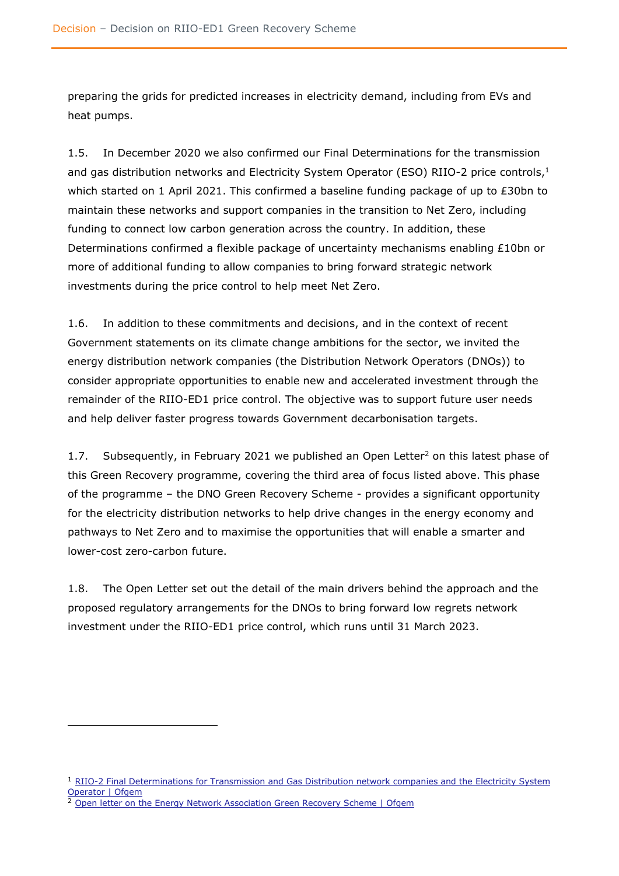preparing the grids for predicted increases in electricity demand, including from EVs and heat pumps.

1.5. In December 2020 we also confirmed our Final Determinations for the transmission and gas distribution networks and Electricity System Operator (ESO) RIIO-2 price controls, 1 which started on 1 April 2021. This confirmed a baseline funding package of up to  $E30$ bn to maintain these networks and support companies in the transition to Net Zero, including funding to connect low carbon generation across the country. In addition, these Determinations confirmed a flexible package of uncertainty mechanisms enabling £10bn or more of additional funding to allow companies to bring forward strategic network investments during the price control to help meet Net Zero.

1.6. In addition to these commitments and decisions, and in the context of recent Government statements on its climate change ambitions for the sector, we invited the energy distribution network companies (the Distribution Network Operators (DNOs)) to consider appropriate opportunities to enable new and accelerated investment through the remainder of the RIIO-ED1 price control. The objective was to support future user needs and help deliver faster progress towards Government decarbonisation targets.

1.7. Subsequently, in February 2021 we published an Open Letter<sup>2</sup> on this latest phase of this Green Recovery programme, covering the third area of focus listed above. This phase of the programme – the DNO Green Recovery Scheme - provides a significant opportunity for the electricity distribution networks to help drive changes in the energy economy and pathways to Net Zero and to maximise the opportunities that will enable a smarter and lower-cost zero-carbon future.

1.8. The Open Letter set out the detail of the main drivers behind the approach and the proposed regulatory arrangements for the DNOs to bring forward low regrets network investment under the RIIO-ED1 price control, which runs until 31 March 2023.

<sup>&</sup>lt;sup>1</sup> RIIO-2 Final Determinations for Transmission and Gas Distribution network companies and the Electricity System [Operator | Ofgem](https://www.ofgem.gov.uk/publications-and-updates/riio-2-final-determinations-transmission-and-gas-distribution-network-companies-and-electricity-system-operator)

<sup>2</sup> [Open letter on the Energy Network Association Green Recovery Scheme | Ofgem](https://www.ofgem.gov.uk/publications-and-updates/open-letter-energy-network-association-green-recovery-scheme)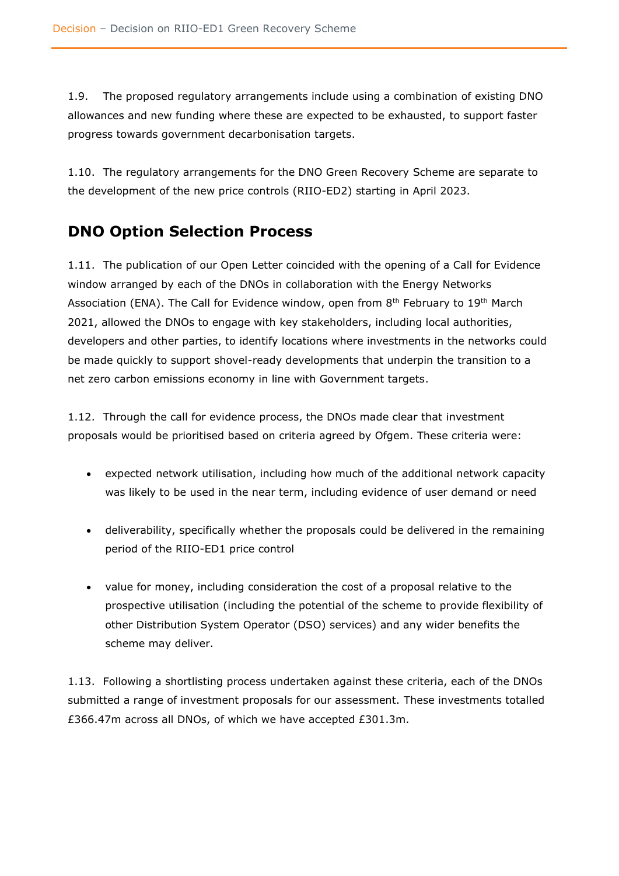1.9. The proposed regulatory arrangements include using a combination of existing DNO allowances and new funding where these are expected to be exhausted, to support faster progress towards government decarbonisation targets.

1.10. The regulatory arrangements for the DNO Green Recovery Scheme are separate to the development of the new price controls (RIIO-ED2) starting in April 2023.

# <span id="page-8-0"></span>**DNO Option Selection Process**

1.11. The publication of our Open Letter coincided with the opening of a Call for Evidence window arranged by each of the DNOs in collaboration with the Energy Networks Association (ENA). The Call for Evidence window, open from  $8<sup>th</sup>$  February to 19<sup>th</sup> March 2021, allowed the DNOs to engage with key stakeholders, including local authorities, developers and other parties, to identify locations where investments in the networks could be made quickly to support shovel-ready developments that underpin the transition to a net zero carbon emissions economy in line with Government targets.

1.12. Through the call for evidence process, the DNOs made clear that investment proposals would be prioritised based on criteria agreed by Ofgem. These criteria were:

- expected network utilisation, including how much of the additional network capacity was likely to be used in the near term, including evidence of user demand or need
- deliverability, specifically whether the proposals could be delivered in the remaining period of the RIIO-ED1 price control
- value for money, including consideration the cost of a proposal relative to the prospective utilisation (including the potential of the scheme to provide flexibility of other Distribution System Operator (DSO) services) and any wider benefits the scheme may deliver.

1.13. Following a shortlisting process undertaken against these criteria, each of the DNOs submitted a range of investment proposals for our assessment. These investments totalled £366.47m across all DNOs, of which we have accepted £301.3m.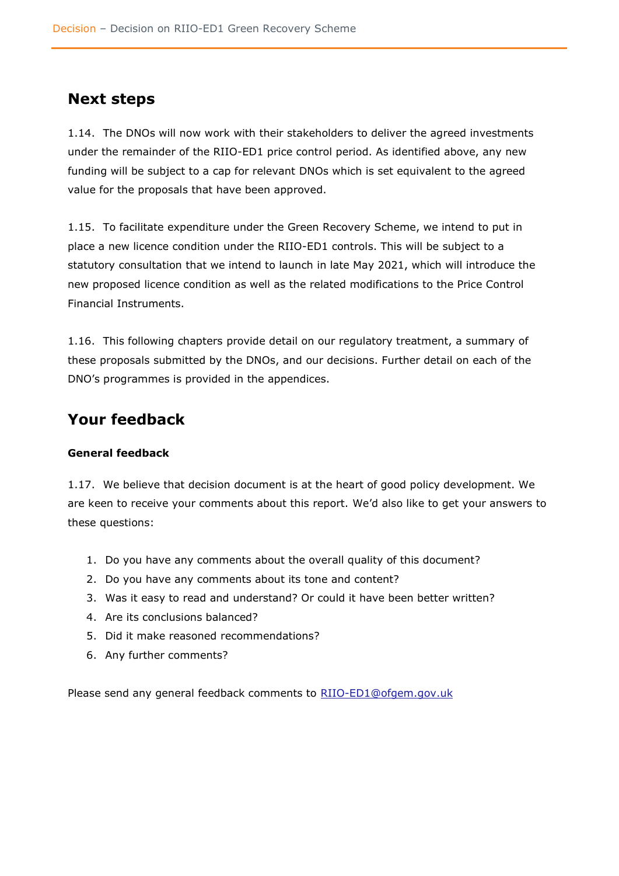# <span id="page-9-0"></span>**Next steps**

1.14. The DNOs will now work with their stakeholders to deliver the agreed investments under the remainder of the RIIO-ED1 price control period. As identified above, any new funding will be subject to a cap for relevant DNOs which is set equivalent to the agreed value for the proposals that have been approved.

1.15. To facilitate expenditure under the Green Recovery Scheme, we intend to put in place a new licence condition under the RIIO-ED1 controls. This will be subject to a statutory consultation that we intend to launch in late May 2021, which will introduce the new proposed licence condition as well as the related modifications to the Price Control Financial Instruments.

1.16. This following chapters provide detail on our regulatory treatment, a summary of these proposals submitted by the DNOs, and our decisions. Further detail on each of the DNO's programmes is provided in the appendices.

# <span id="page-9-1"></span>**Your feedback**

### <span id="page-9-2"></span>**General feedback**

1.17. We believe that decision document is at the heart of good policy development. We are keen to receive your comments about this report. We'd also like to get your answers to these questions:

- 1. Do you have any comments about the overall quality of this document?
- 2. Do you have any comments about its tone and content?
- 3. Was it easy to read and understand? Or could it have been better written?
- 4. Are its conclusions balanced?
- 5. Did it make reasoned recommendations?
- 6. Any further comments?

Please send any general feedback comments to [RIIO-ED1@ofgem.gov.uk](mailto:RIIO-ED1@ofgem.gov.uk)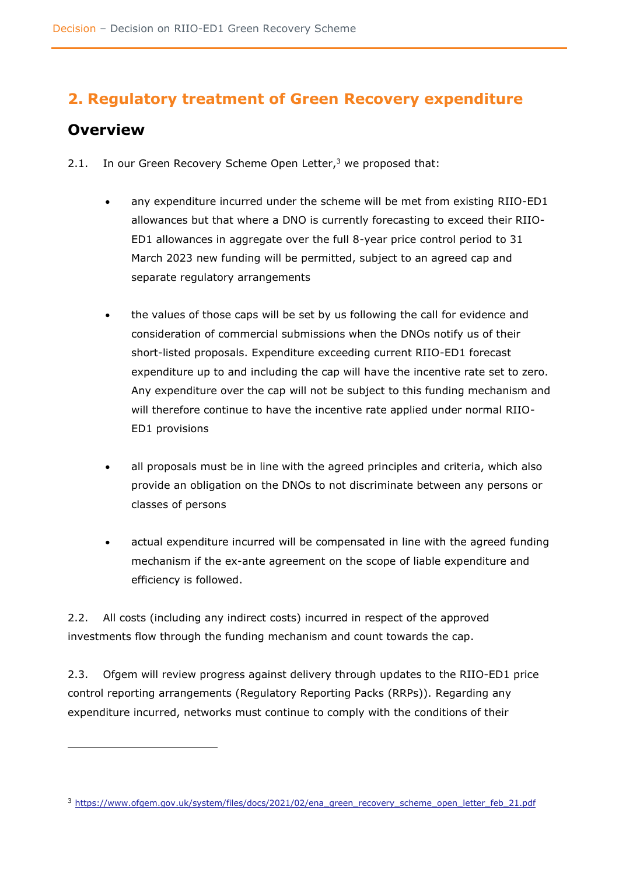# <span id="page-10-0"></span>**2. Regulatory treatment of Green Recovery expenditure**

# <span id="page-10-1"></span>**Overview**

- 2.1. In our Green Recovery Scheme Open Letter, $3$  we proposed that:
	- any expenditure incurred under the scheme will be met from existing RIIO-ED1 allowances but that where a DNO is currently forecasting to exceed their RIIO-ED1 allowances in aggregate over the full 8-year price control period to 31 March 2023 new funding will be permitted, subject to an agreed cap and separate regulatory arrangements
	- the values of those caps will be set by us following the call for evidence and consideration of commercial submissions when the DNOs notify us of their short-listed proposals. Expenditure exceeding current RIIO-ED1 forecast expenditure up to and including the cap will have the incentive rate set to zero. Any expenditure over the cap will not be subject to this funding mechanism and will therefore continue to have the incentive rate applied under normal RIIO-ED1 provisions
	- all proposals must be in line with the agreed principles and criteria, which also provide an obligation on the DNOs to not discriminate between any persons or classes of persons
	- actual expenditure incurred will be compensated in line with the agreed funding mechanism if the ex-ante agreement on the scope of liable expenditure and efficiency is followed.

2.2. All costs (including any indirect costs) incurred in respect of the approved investments flow through the funding mechanism and count towards the cap.

2.3. Ofgem will review progress against delivery through updates to the RIIO-ED1 price control reporting arrangements (Regulatory Reporting Packs (RRPs)). Regarding any expenditure incurred, networks must continue to comply with the conditions of their

<sup>&</sup>lt;sup>3</sup> [https://www.ofgem.gov.uk/system/files/docs/2021/02/ena\\_green\\_recovery\\_scheme\\_open\\_letter\\_feb\\_21.pdf](https://www.ofgem.gov.uk/system/files/docs/2021/02/ena_green_recovery_scheme_open_letter_feb_21.pdf)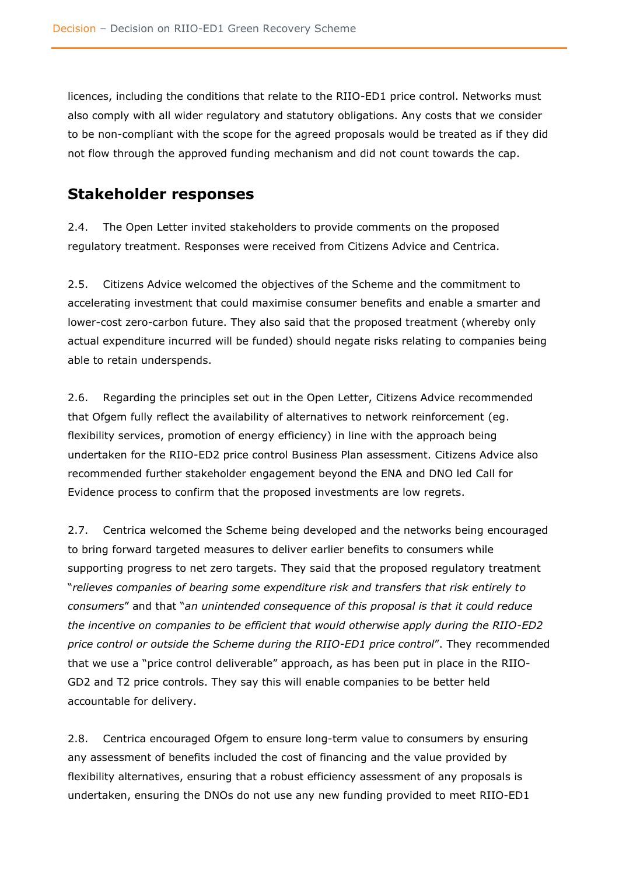licences, including the conditions that relate to the RIIO-ED1 price control. Networks must also comply with all wider regulatory and statutory obligations. Any costs that we consider to be non-compliant with the scope for the agreed proposals would be treated as if they did not flow through the approved funding mechanism and did not count towards the cap.

### <span id="page-11-0"></span>**Stakeholder responses**

2.4. The Open Letter invited stakeholders to provide comments on the proposed regulatory treatment. Responses were received from Citizens Advice and Centrica.

2.5. Citizens Advice welcomed the objectives of the Scheme and the commitment to accelerating investment that could maximise consumer benefits and enable a smarter and lower-cost zero-carbon future. They also said that the proposed treatment (whereby only actual expenditure incurred will be funded) should negate risks relating to companies being able to retain underspends.

2.6. Regarding the principles set out in the Open Letter, Citizens Advice recommended that Ofgem fully reflect the availability of alternatives to network reinforcement (eg. flexibility services, promotion of energy efficiency) in line with the approach being undertaken for the RIIO-ED2 price control Business Plan assessment. Citizens Advice also recommended further stakeholder engagement beyond the ENA and DNO led Call for Evidence process to confirm that the proposed investments are low regrets.

2.7. Centrica welcomed the Scheme being developed and the networks being encouraged to bring forward targeted measures to deliver earlier benefits to consumers while supporting progress to net zero targets. They said that the proposed regulatory treatment "*relieves companies of bearing some expenditure risk and transfers that risk entirely to consumers*" and that "*an unintended consequence of this proposal is that it could reduce the incentive on companies to be efficient that would otherwise apply during the RIIO-ED2 price control or outside the Scheme during the RIIO-ED1 price control*". They recommended that we use a "price control deliverable" approach, as has been put in place in the RIIO-GD2 and T2 price controls. They say this will enable companies to be better held accountable for delivery.

2.8. Centrica encouraged Ofgem to ensure long-term value to consumers by ensuring any assessment of benefits included the cost of financing and the value provided by flexibility alternatives, ensuring that a robust efficiency assessment of any proposals is undertaken, ensuring the DNOs do not use any new funding provided to meet RIIO-ED1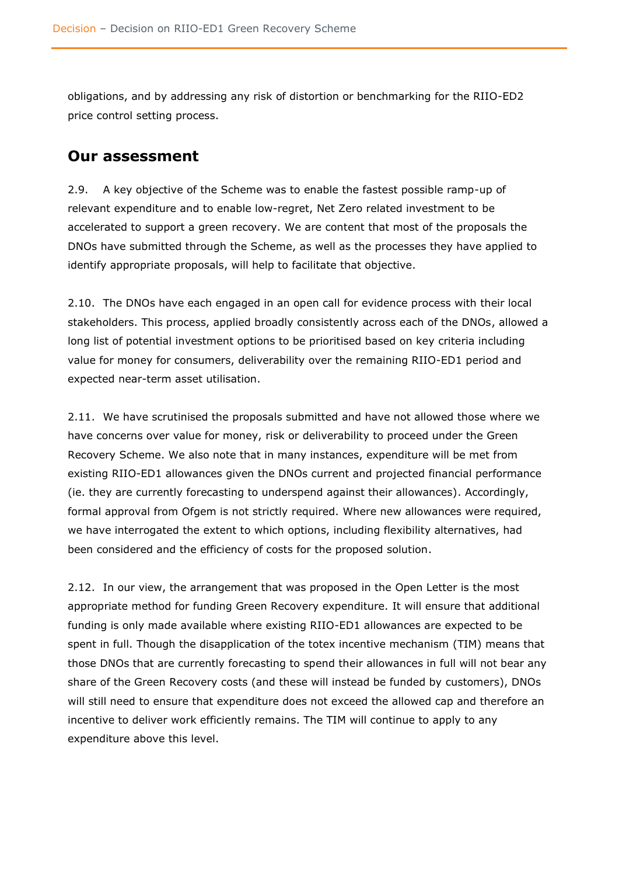obligations, and by addressing any risk of distortion or benchmarking for the RIIO-ED2 price control setting process.

### <span id="page-12-0"></span>**Our assessment**

2.9. A key objective of the Scheme was to enable the fastest possible ramp-up of relevant expenditure and to enable low-regret, Net Zero related investment to be accelerated to support a green recovery. We are content that most of the proposals the DNOs have submitted through the Scheme, as well as the processes they have applied to identify appropriate proposals, will help to facilitate that objective.

2.10. The DNOs have each engaged in an open call for evidence process with their local stakeholders. This process, applied broadly consistently across each of the DNOs, allowed a long list of potential investment options to be prioritised based on key criteria including value for money for consumers, deliverability over the remaining RIIO-ED1 period and expected near-term asset utilisation.

2.11. We have scrutinised the proposals submitted and have not allowed those where we have concerns over value for money, risk or deliverability to proceed under the Green Recovery Scheme. We also note that in many instances, expenditure will be met from existing RIIO-ED1 allowances given the DNOs current and projected financial performance (ie. they are currently forecasting to underspend against their allowances). Accordingly, formal approval from Ofgem is not strictly required. Where new allowances were required, we have interrogated the extent to which options, including flexibility alternatives, had been considered and the efficiency of costs for the proposed solution.

2.12. In our view, the arrangement that was proposed in the Open Letter is the most appropriate method for funding Green Recovery expenditure. It will ensure that additional funding is only made available where existing RIIO-ED1 allowances are expected to be spent in full. Though the disapplication of the totex incentive mechanism (TIM) means that those DNOs that are currently forecasting to spend their allowances in full will not bear any share of the Green Recovery costs (and these will instead be funded by customers), DNOs will still need to ensure that expenditure does not exceed the allowed cap and therefore an incentive to deliver work efficiently remains. The TIM will continue to apply to any expenditure above this level.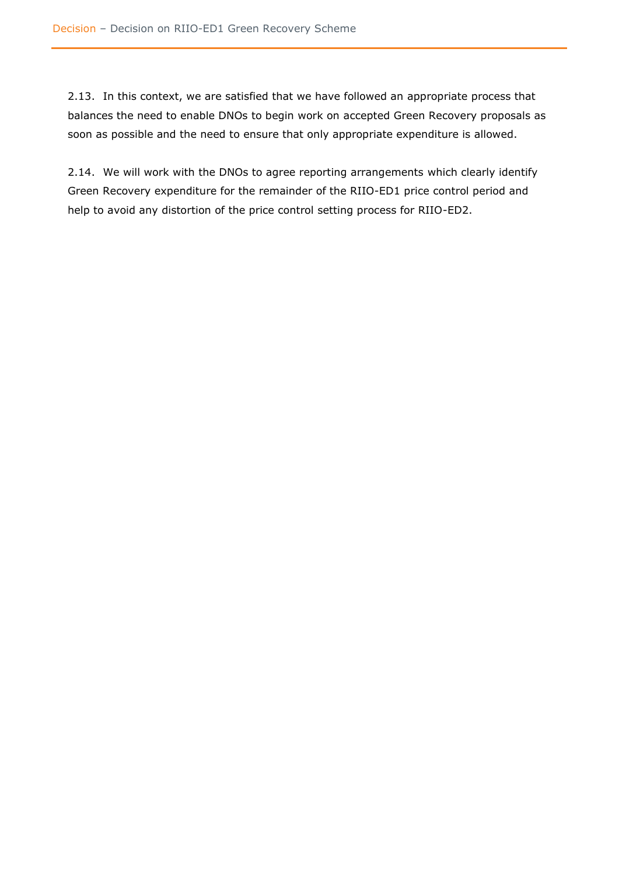2.13. In this context, we are satisfied that we have followed an appropriate process that balances the need to enable DNOs to begin work on accepted Green Recovery proposals as soon as possible and the need to ensure that only appropriate expenditure is allowed.

2.14. We will work with the DNOs to agree reporting arrangements which clearly identify Green Recovery expenditure for the remainder of the RIIO-ED1 price control period and help to avoid any distortion of the price control setting process for RIIO-ED2.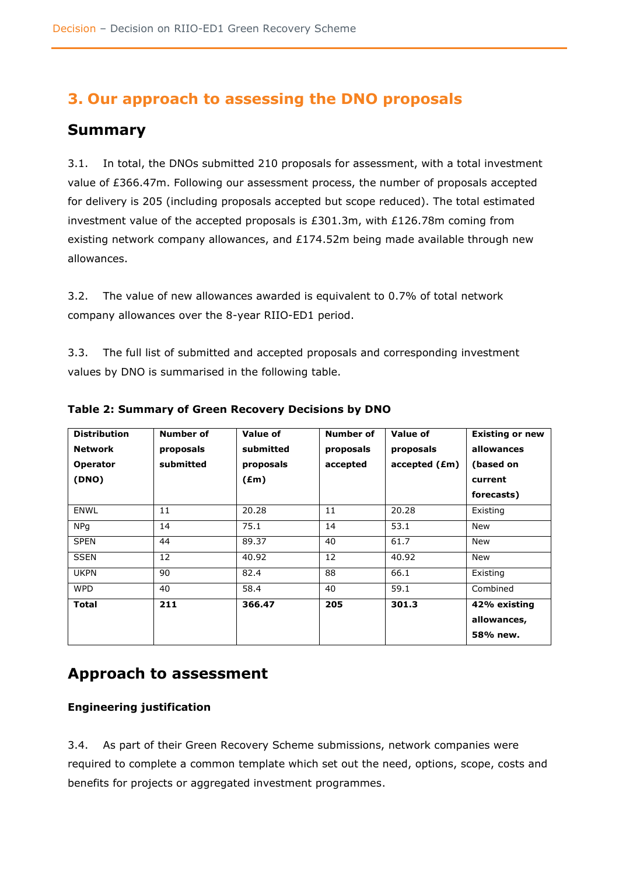# <span id="page-14-0"></span>**3. Our approach to assessing the DNO proposals**

# <span id="page-14-1"></span>**Summary**

3.1. In total, the DNOs submitted 210 proposals for assessment, with a total investment value of £366.47m. Following our assessment process, the number of proposals accepted for delivery is 205 (including proposals accepted but scope reduced). The total estimated investment value of the accepted proposals is £301.3m, with £126.78m coming from existing network company allowances, and £174.52m being made available through new allowances.

3.2. The value of new allowances awarded is equivalent to 0.7% of total network company allowances over the 8-year RIIO-ED1 period.

3.3. The full list of submitted and accepted proposals and corresponding investment values by DNO is summarised in the following table.

| <b>Distribution</b><br><b>Network</b> | Number of | Value of<br>submitted | Number of | Value of      | <b>Existing or new</b><br>allowances |
|---------------------------------------|-----------|-----------------------|-----------|---------------|--------------------------------------|
|                                       | proposals |                       | proposals | proposals     |                                      |
| <b>Operator</b>                       | submitted | proposals             | accepted  | accelted (Em) | (based on                            |
| (DNO)                                 |           | $(\text{Em})$         |           |               | current                              |
|                                       |           |                       |           |               | forecasts)                           |
| <b>ENWL</b>                           | 11        | 20.28                 | 11        | 20.28         | Existing                             |
| <b>NPq</b>                            | 14        | 75.1                  | 14        | 53.1          | <b>New</b>                           |
| <b>SPEN</b>                           | 44        | 89.37                 | 40        | 61.7          | <b>New</b>                           |
| <b>SSEN</b>                           | 12        | 40.92                 | 12        | 40.92         | <b>New</b>                           |
| <b>UKPN</b>                           | 90        | 82.4                  | 88        | 66.1          | Existing                             |
| <b>WPD</b>                            | 40        | 58.4                  | 40        | 59.1          | Combined                             |
| <b>Total</b>                          | 211       | 366.47                | 205       | 301.3         | 42% existing                         |
|                                       |           |                       |           |               | allowances,                          |
|                                       |           |                       |           |               | 58% new.                             |

**Table 2: Summary of Green Recovery Decisions by DNO**

# <span id="page-14-2"></span>**Approach to assessment**

### **Engineering justification**

3.4. As part of their Green Recovery Scheme submissions, network companies were required to complete a common template which set out the need, options, scope, costs and benefits for projects or aggregated investment programmes.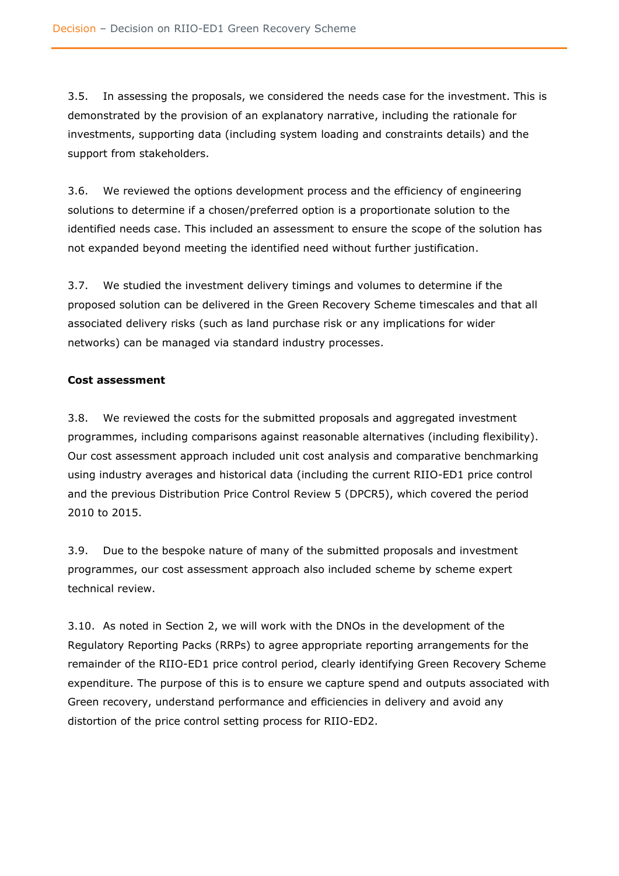3.5. In assessing the proposals, we considered the needs case for the investment. This is demonstrated by the provision of an explanatory narrative, including the rationale for investments, supporting data (including system loading and constraints details) and the support from stakeholders.

3.6. We reviewed the options development process and the efficiency of engineering solutions to determine if a chosen/preferred option is a proportionate solution to the identified needs case. This included an assessment to ensure the scope of the solution has not expanded beyond meeting the identified need without further justification.

3.7. We studied the investment delivery timings and volumes to determine if the proposed solution can be delivered in the Green Recovery Scheme timescales and that all associated delivery risks (such as land purchase risk or any implications for wider networks) can be managed via standard industry processes.

#### **Cost assessment**

3.8. We reviewed the costs for the submitted proposals and aggregated investment programmes, including comparisons against reasonable alternatives (including flexibility). Our cost assessment approach included unit cost analysis and comparative benchmarking using industry averages and historical data (including the current RIIO-ED1 price control and the previous Distribution Price Control Review 5 (DPCR5), which covered the period 2010 to 2015.

3.9. Due to the bespoke nature of many of the submitted proposals and investment programmes, our cost assessment approach also included scheme by scheme expert technical review.

3.10. As noted in Section 2, we will work with the DNOs in the development of the Regulatory Reporting Packs (RRPs) to agree appropriate reporting arrangements for the remainder of the RIIO-ED1 price control period, clearly identifying Green Recovery Scheme expenditure. The purpose of this is to ensure we capture spend and outputs associated with Green recovery, understand performance and efficiencies in delivery and avoid any distortion of the price control setting process for RIIO-ED2.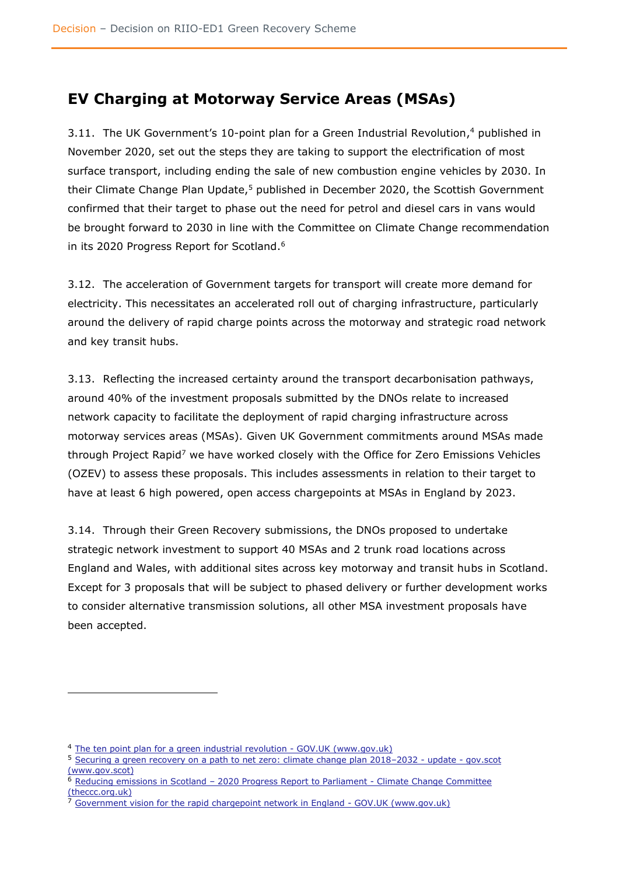# <span id="page-16-0"></span>**EV Charging at Motorway Service Areas (MSAs)**

3.11. The UK Government's 10-point plan for a Green Industrial Revolution, <sup>4</sup> published in November 2020, set out the steps they are taking to support the electrification of most surface transport, including ending the sale of new combustion engine vehicles by 2030. In their Climate Change Plan Update,<sup>5</sup> published in December 2020, the Scottish Government confirmed that their target to phase out the need for petrol and diesel cars in vans would be brought forward to 2030 in line with the Committee on Climate Change recommendation in its 2020 Progress Report for Scotland.<sup>6</sup>

3.12. The acceleration of Government targets for transport will create more demand for electricity. This necessitates an accelerated roll out of charging infrastructure, particularly around the delivery of rapid charge points across the motorway and strategic road network and key transit hubs.

3.13. Reflecting the increased certainty around the transport decarbonisation pathways, around 40% of the investment proposals submitted by the DNOs relate to increased network capacity to facilitate the deployment of rapid charging infrastructure across motorway services areas (MSAs). Given UK Government commitments around MSAs made through Project Rapid<sup>7</sup> we have worked closely with the Office for Zero Emissions Vehicles (OZEV) to assess these proposals. This includes assessments in relation to their target to have at least 6 high powered, open access chargepoints at MSAs in England by 2023.

3.14. Through their Green Recovery submissions, the DNOs proposed to undertake strategic network investment to support 40 MSAs and 2 trunk road locations across England and Wales, with additional sites across key motorway and transit hubs in Scotland. Except for 3 proposals that will be subject to phased delivery or further development works to consider alternative transmission solutions, all other MSA investment proposals have been accepted.

<sup>&</sup>lt;sup>4</sup> [The ten point plan for a green industrial revolution -](https://www.gov.uk/government/publications/the-ten-point-plan-for-a-green-industrial-revolution) GOV.UK (www.gov.uk)

<sup>&</sup>lt;sup>5</sup> [Securing a green recovery on a path to net zero: climate change plan 2018](https://www.gov.scot/publications/securing-green-recovery-path-net-zero-update-climate-change-plan-20182032/)–2032 - update - gov.scot [\(www.gov.scot\)](https://www.gov.scot/publications/securing-green-recovery-path-net-zero-update-climate-change-plan-20182032/)

<sup>&</sup>lt;sup>6</sup> Reducing emissions in Scotland - [2020 Progress Report to Parliament -](https://www.theccc.org.uk/publication/reducing-emissions-in-scotland-2020-progress-report-to-parliament/) Climate Change Committee [\(theccc.org.uk\)](https://www.theccc.org.uk/publication/reducing-emissions-in-scotland-2020-progress-report-to-parliament/)

[Government vision for the rapid chargepoint network in England -](https://www.gov.uk/government/publications/government-vision-for-the-rapid-chargepoint-network-in-england/government-vision-for-the-rapid-chargepoint-network-in-england) GOV.UK (www.gov.uk)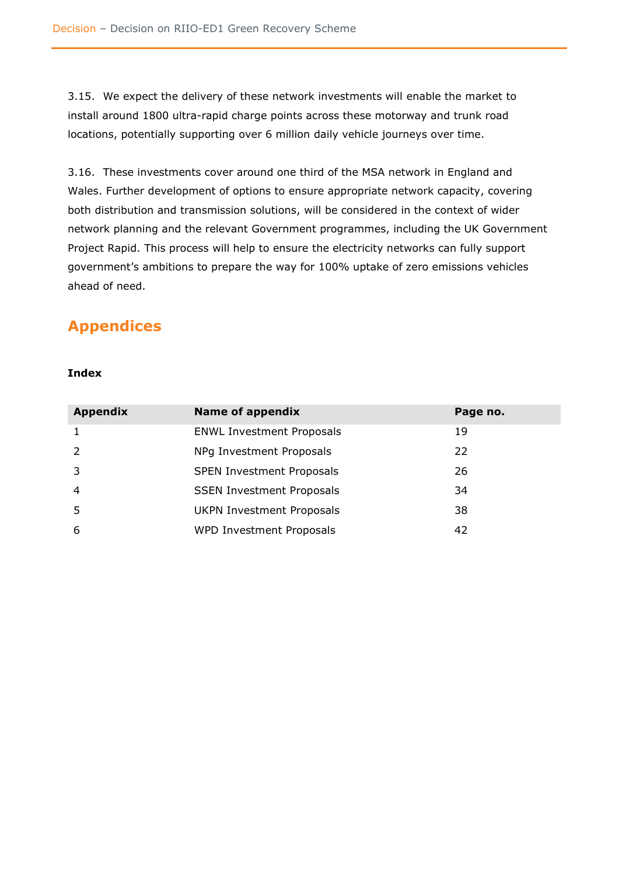3.15. We expect the delivery of these network investments will enable the market to install around 1800 ultra-rapid charge points across these motorway and trunk road locations, potentially supporting over 6 million daily vehicle journeys over time.

3.16. These investments cover around one third of the MSA network in England and Wales. Further development of options to ensure appropriate network capacity, covering both distribution and transmission solutions, will be considered in the context of wider network planning and the relevant Government programmes, including the UK Government Project Rapid. This process will help to ensure the electricity networks can fully support government's ambitions to prepare the way for 100% uptake of zero emissions vehicles ahead of need.

# <span id="page-17-0"></span>**Appendices**

#### **Index**

| <b>Appendix</b> | Name of appendix                 | Page no. |
|-----------------|----------------------------------|----------|
| 1               | <b>ENWL Investment Proposals</b> | 19       |
| 2               | NPg Investment Proposals         | 22       |
| 3               | <b>SPEN Investment Proposals</b> | 26       |
| $\overline{4}$  | <b>SSEN Investment Proposals</b> | 34       |
| 5               | <b>UKPN Investment Proposals</b> | 38       |
| 6               | WPD Investment Proposals         | 42       |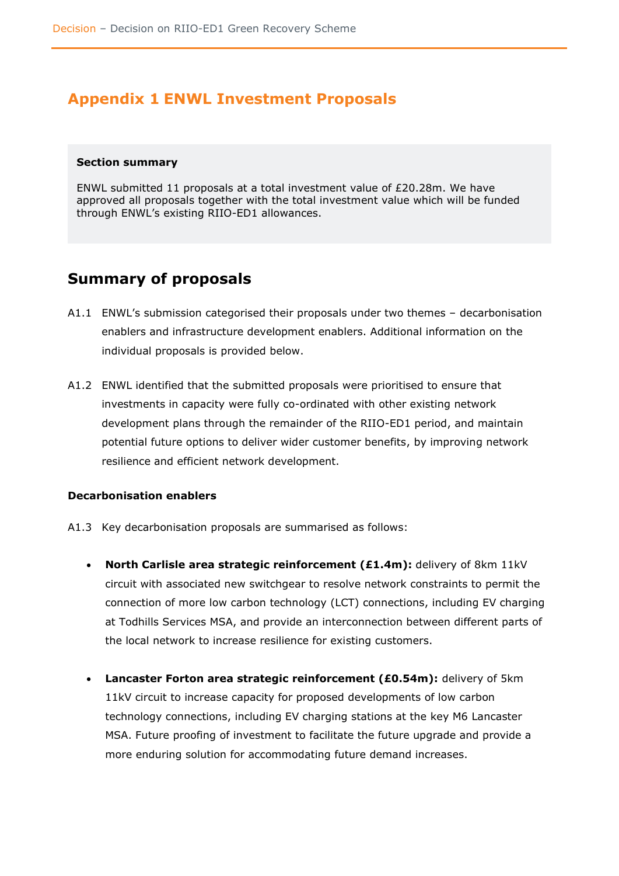# <span id="page-18-0"></span>**Appendix 1 ENWL Investment Proposals**

#### <span id="page-18-1"></span>**Section summary**

ENWL submitted 11 proposals at a total investment value of £20.28m. We have approved all proposals together with the total investment value which will be funded through ENWL's existing RIIO-ED1 allowances.

### <span id="page-18-2"></span>**Summary of proposals**

- A1.1 ENWL's submission categorised their proposals under two themes decarbonisation enablers and infrastructure development enablers. Additional information on the individual proposals is provided below.
- A1.2 ENWL identified that the submitted proposals were prioritised to ensure that investments in capacity were fully co-ordinated with other existing network development plans through the remainder of the RIIO-ED1 period, and maintain potential future options to deliver wider customer benefits, by improving network resilience and efficient network development.

### <span id="page-18-3"></span>**Decarbonisation enablers**

- A1.3 Key decarbonisation proposals are summarised as follows:
	- **North Carlisle area strategic reinforcement (£1.4m):** delivery of 8km 11kV circuit with associated new switchgear to resolve network constraints to permit the connection of more low carbon technology (LCT) connections, including EV charging at Todhills Services MSA, and provide an interconnection between different parts of the local network to increase resilience for existing customers.
	- **Lancaster Forton area strategic reinforcement (£0.54m):** delivery of 5km 11kV circuit to increase capacity for proposed developments of low carbon technology connections, including EV charging stations at the key M6 Lancaster MSA. Future proofing of investment to facilitate the future upgrade and provide a more enduring solution for accommodating future demand increases.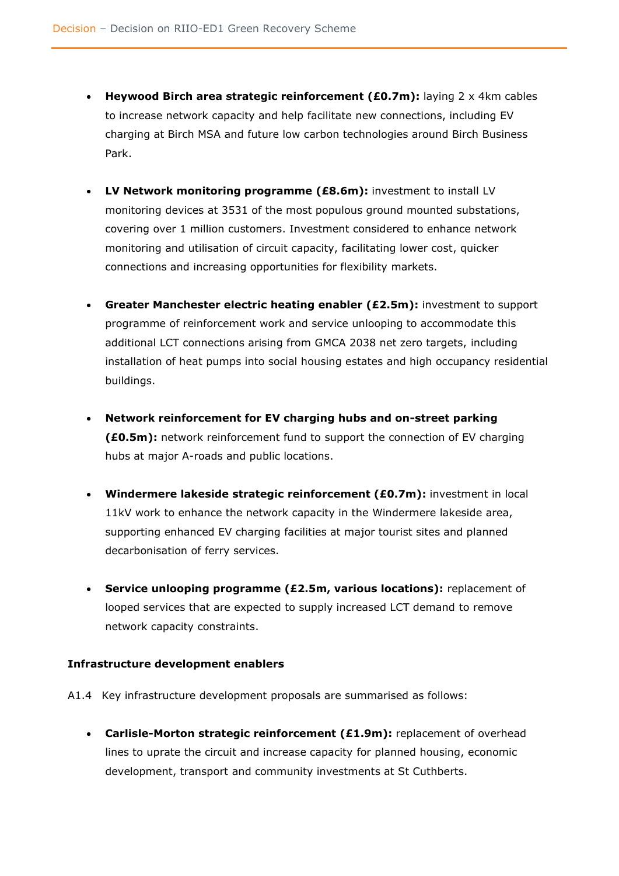- **Heywood Birch area strategic reinforcement (£0.7m):** laying 2 x 4km cables to increase network capacity and help facilitate new connections, including EV charging at Birch MSA and future low carbon technologies around Birch Business Park.
- **LV Network monitoring programme (£8.6m):** investment to install LV monitoring devices at 3531 of the most populous ground mounted substations, covering over 1 million customers. Investment considered to enhance network monitoring and utilisation of circuit capacity, facilitating lower cost, quicker connections and increasing opportunities for flexibility markets.
- **Greater Manchester electric heating enabler (£2.5m):** investment to support programme of reinforcement work and service unlooping to accommodate this additional LCT connections arising from GMCA 2038 net zero targets, including installation of heat pumps into social housing estates and high occupancy residential buildings.
- **Network reinforcement for EV charging hubs and on-street parking (£0.5m):** network reinforcement fund to support the connection of EV charging hubs at major A-roads and public locations.
- **Windermere lakeside strategic reinforcement (£0.7m):** investment in local 11kV work to enhance the network capacity in the Windermere lakeside area, supporting enhanced EV charging facilities at major tourist sites and planned decarbonisation of ferry services.
- **Service unlooping programme (£2.5m, various locations):** replacement of looped services that are expected to supply increased LCT demand to remove network capacity constraints.

#### <span id="page-19-0"></span>**Infrastructure development enablers**

- A1.4 Key infrastructure development proposals are summarised as follows:
	- **Carlisle-Morton strategic reinforcement (£1.9m):** replacement of overhead lines to uprate the circuit and increase capacity for planned housing, economic development, transport and community investments at St Cuthberts.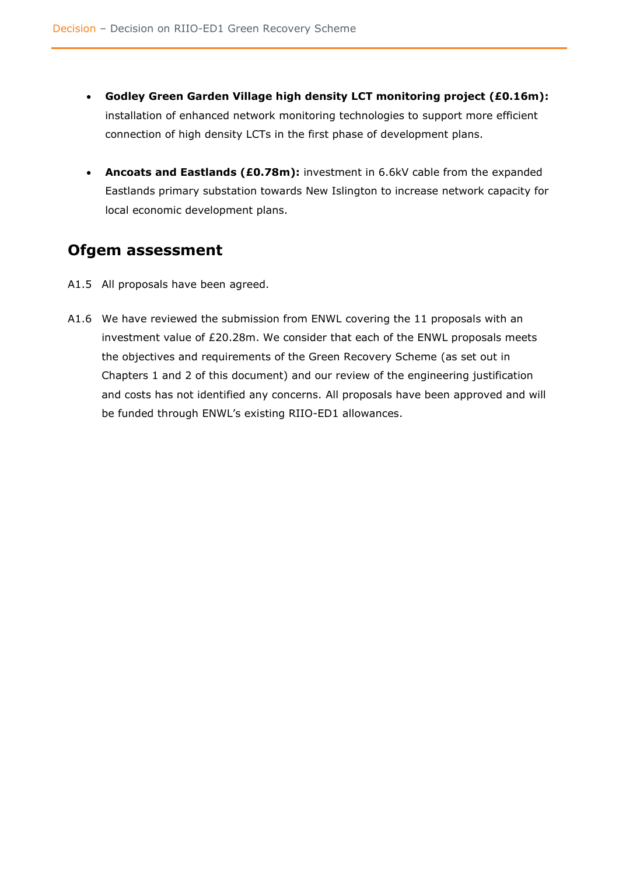- **Godley Green Garden Village high density LCT monitoring project (£0.16m):**  installation of enhanced network monitoring technologies to support more efficient connection of high density LCTs in the first phase of development plans.
- **Ancoats and Eastlands (£0.78m):** investment in 6.6kV cable from the expanded Eastlands primary substation towards New Islington to increase network capacity for local economic development plans.

# <span id="page-20-0"></span>**Ofgem assessment**

- A1.5 All proposals have been agreed.
- A1.6 We have reviewed the submission from ENWL covering the 11 proposals with an investment value of £20.28m. We consider that each of the ENWL proposals meets the objectives and requirements of the Green Recovery Scheme (as set out in Chapters 1 and 2 of this document) and our review of the engineering justification and costs has not identified any concerns. All proposals have been approved and will be funded through ENWL's existing RIIO-ED1 allowances.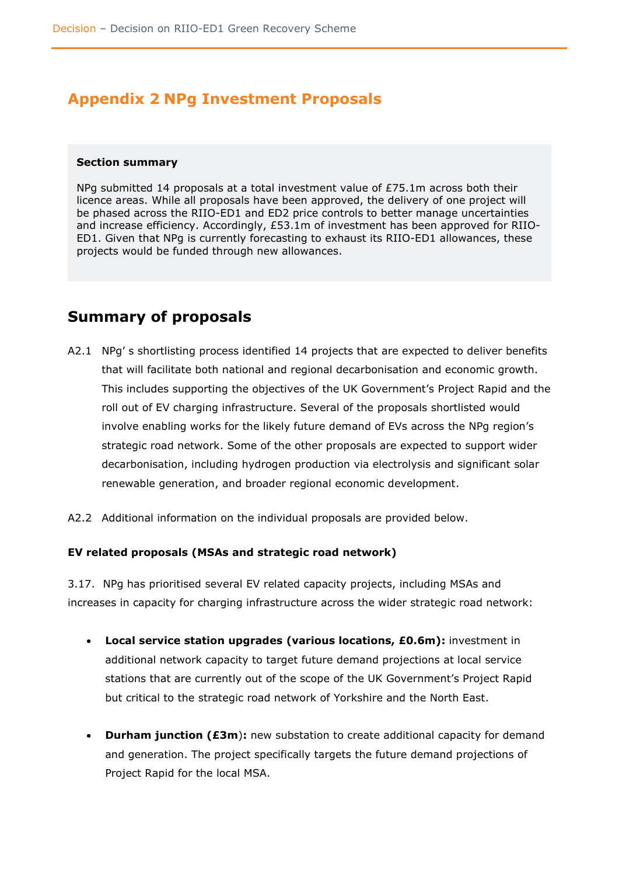# <span id="page-21-0"></span>**Appendix 2 NPg Investment Proposals**

#### <span id="page-21-1"></span>**Section summary**

NPg submitted 14 proposals at a total investment value of £75.1m across both their licence areas. While all proposals have been approved, the delivery of one project will be phased across the RIIO-ED1 and ED2 price controls to better manage uncertainties and increase efficiency. Accordingly, £53.1m of investment has been approved for RIIO-ED1. Given that NPg is currently forecasting to exhaust its RIIO-ED1 allowances, these projects would be funded through new allowances.

### <span id="page-21-2"></span>**Summary of proposals**

- A2.1 NPg' s shortlisting process identified 14 projects that are expected to deliver benefits that will facilitate both national and regional decarbonisation and economic growth. This includes supporting the objectives of the UK Government's Project Rapid and the roll out of EV charging infrastructure. Several of the proposals shortlisted would involve enabling works for the likely future demand of EVs across the NPg region's strategic road network. Some of the other proposals are expected to support wider decarbonisation, including hydrogen production via electrolysis and significant solar renewable generation, and broader regional economic development.
- A2.2 Additional information on the individual proposals are provided below.

#### <span id="page-21-3"></span>**EV related proposals (MSAs and strategic road network)**

3.17. NPg has prioritised several EV related capacity projects, including MSAs and increases in capacity for charging infrastructure across the wider strategic road network:

- **Local service station upgrades (various locations, £0.6m):** investment in additional network capacity to target future demand projections at local service stations that are currently out of the scope of the UK Government's Project Rapid but critical to the strategic road network of Yorkshire and the North East.
- **Durham junction (£3m**)**:** new substation to create additional capacity for demand and generation. The project specifically targets the future demand projections of Project Rapid for the local MSA.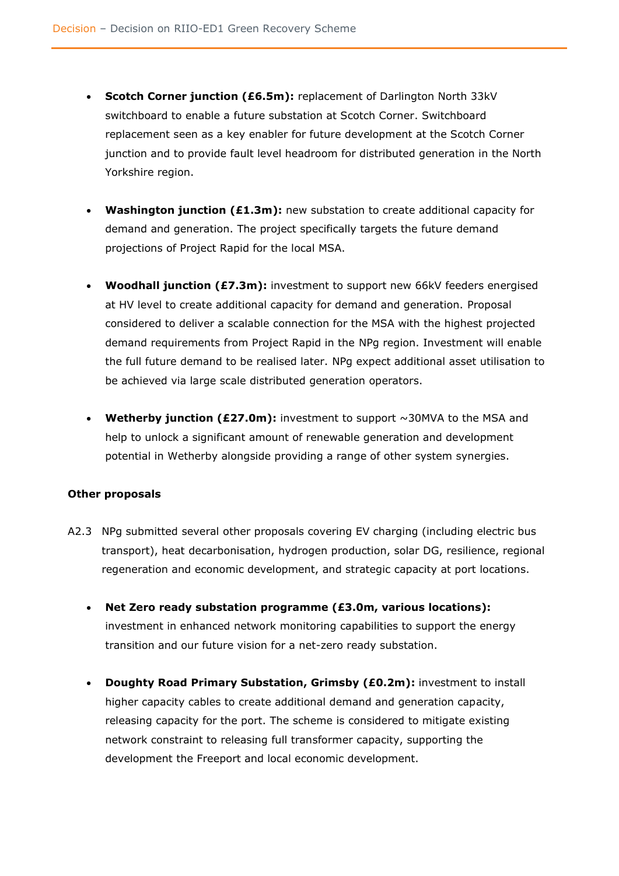- **Scotch Corner junction (£6.5m):** replacement of Darlington North 33kV switchboard to enable a future substation at Scotch Corner. Switchboard replacement seen as a key enabler for future development at the Scotch Corner junction and to provide fault level headroom for distributed generation in the North Yorkshire region.
- **Washington junction (£1.3m):** new substation to create additional capacity for demand and generation. The project specifically targets the future demand projections of Project Rapid for the local MSA.
- **Woodhall junction (£7.3m):** investment to support new 66kV feeders energised at HV level to create additional capacity for demand and generation. Proposal considered to deliver a scalable connection for the MSA with the highest projected demand requirements from Project Rapid in the NPg region. Investment will enable the full future demand to be realised later. NPg expect additional asset utilisation to be achieved via large scale distributed generation operators.
- **Wetherby junction (£27.0m):** investment to support ~30MVA to the MSA and help to unlock a significant amount of renewable generation and development potential in Wetherby alongside providing a range of other system synergies.

#### **Other proposals**

- A2.3 NPg submitted several other proposals covering EV charging (including electric bus transport), heat decarbonisation, hydrogen production, solar DG, resilience, regional regeneration and economic development, and strategic capacity at port locations.
	- **Net Zero ready substation programme (£3.0m, various locations):** investment in enhanced network monitoring capabilities to support the energy transition and our future vision for a net-zero ready substation.
	- **Doughty Road Primary Substation, Grimsby (£0.2m):** investment to install higher capacity cables to create additional demand and generation capacity, releasing capacity for the port. The scheme is considered to mitigate existing network constraint to releasing full transformer capacity, supporting the development the Freeport and local economic development.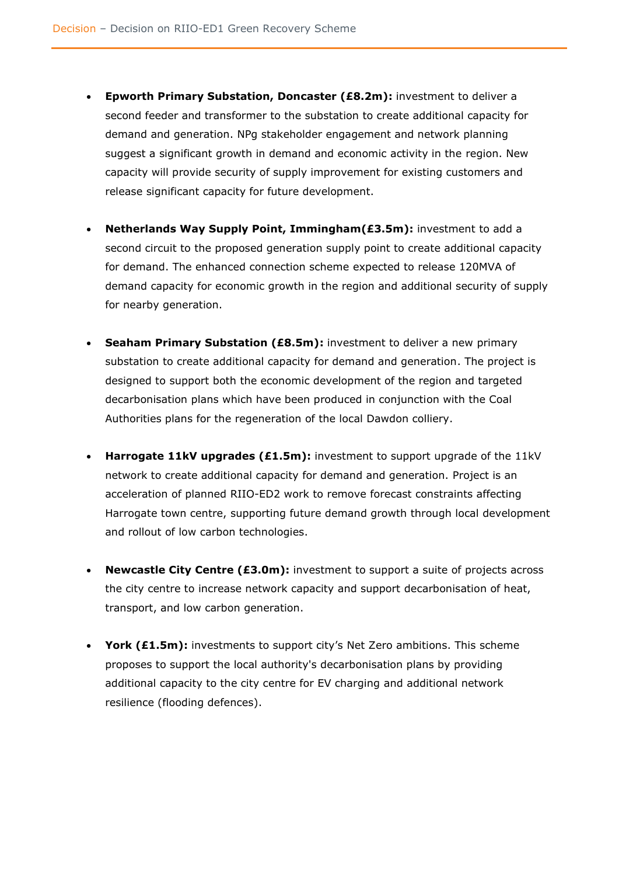- **Epworth Primary Substation, Doncaster (£8.2m):** investment to deliver a second feeder and transformer to the substation to create additional capacity for demand and generation. NPg stakeholder engagement and network planning suggest a significant growth in demand and economic activity in the region. New capacity will provide security of supply improvement for existing customers and release significant capacity for future development.
- **Netherlands Way Supply Point, Immingham(£3.5m):** investment to add a second circuit to the proposed generation supply point to create additional capacity for demand. The enhanced connection scheme expected to release 120MVA of demand capacity for economic growth in the region and additional security of supply for nearby generation.
- **Seaham Primary Substation (£8.5m):** investment to deliver a new primary substation to create additional capacity for demand and generation. The project is designed to support both the economic development of the region and targeted decarbonisation plans which have been produced in conjunction with the Coal Authorities plans for the regeneration of the local Dawdon colliery.
- **Harrogate 11kV upgrades (£1.5m):** investment to support upgrade of the 11kV network to create additional capacity for demand and generation. Project is an acceleration of planned RIIO-ED2 work to remove forecast constraints affecting Harrogate town centre, supporting future demand growth through local development and rollout of low carbon technologies.
- **Newcastle City Centre (£3.0m):** investment to support a suite of projects across the city centre to increase network capacity and support decarbonisation of heat, transport, and low carbon generation.
- **York (£1.5m):** investments to support city's Net Zero ambitions. This scheme proposes to support the local authority's decarbonisation plans by providing additional capacity to the city centre for EV charging and additional network resilience (flooding defences).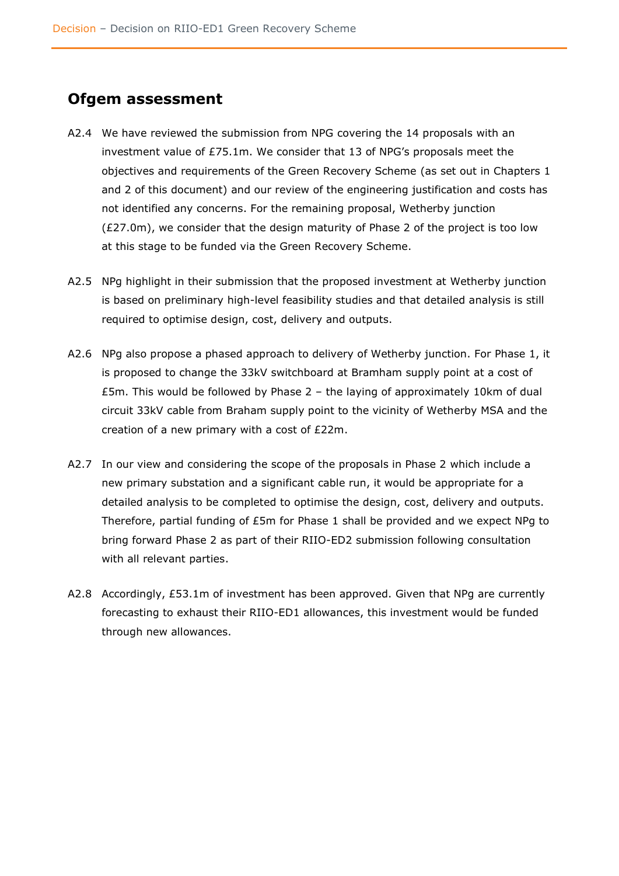### <span id="page-24-0"></span>**Ofgem assessment**

- A2.4 We have reviewed the submission from NPG covering the 14 proposals with an investment value of £75.1m. We consider that 13 of NPG's proposals meet the objectives and requirements of the Green Recovery Scheme (as set out in Chapters 1 and 2 of this document) and our review of the engineering justification and costs has not identified any concerns. For the remaining proposal, Wetherby junction (£27.0m), we consider that the design maturity of Phase 2 of the project is too low at this stage to be funded via the Green Recovery Scheme.
- A2.5 NPg highlight in their submission that the proposed investment at Wetherby junction is based on preliminary high-level feasibility studies and that detailed analysis is still required to optimise design, cost, delivery and outputs.
- A2.6 NPg also propose a phased approach to delivery of Wetherby junction. For Phase 1, it is proposed to change the 33kV switchboard at Bramham supply point at a cost of £5m. This would be followed by Phase 2 – the laying of approximately 10km of dual circuit 33kV cable from Braham supply point to the vicinity of Wetherby MSA and the creation of a new primary with a cost of £22m.
- A2.7 In our view and considering the scope of the proposals in Phase 2 which include a new primary substation and a significant cable run, it would be appropriate for a detailed analysis to be completed to optimise the design, cost, delivery and outputs. Therefore, partial funding of £5m for Phase 1 shall be provided and we expect NPg to bring forward Phase 2 as part of their RIIO-ED2 submission following consultation with all relevant parties.
- A2.8 Accordingly, £53.1m of investment has been approved. Given that NPg are currently forecasting to exhaust their RIIO-ED1 allowances, this investment would be funded through new allowances.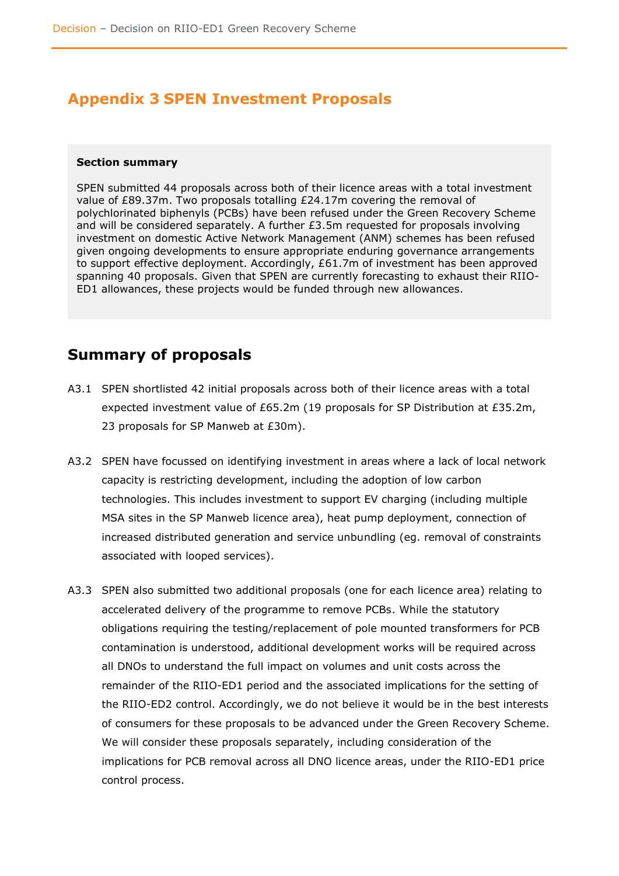# <span id="page-25-0"></span>**Appendix 3 SPEN Investment Proposals**

#### <span id="page-25-1"></span>**Section summary**

SPEN submitted 44 proposals across both of their licence areas with a total investment value of £89.37m. Two proposals totalling £24.17m covering the removal of polychlorinated biphenyls (PCBs) have been refused under the Green Recovery Scheme and will be considered separately. A further £3.5m requested for proposals involving investment on domestic Active Network Management (ANM) schemes has been refused given ongoing developments to ensure appropriate enduring governance arrangements to support effective deployment. Accordingly, £61.7m of investment has been approved spanning 40 proposals. Given that SPEN are currently forecasting to exhaust their RIIO-ED1 allowances, these projects would be funded through new allowances.

### <span id="page-25-2"></span>**Summary of proposals**

- A3.1 SPEN shortlisted 42 initial proposals across both of their licence areas with a total expected investment value of £65.2m (19 proposals for SP Distribution at £35.2m, 23 proposals for SP Manweb at £30m).
- A3.2 SPEN have focussed on identifying investment in areas where a lack of local network capacity is restricting development, including the adoption of low carbon technologies. This includes investment to support EV charging (including multiple MSA sites in the SP Manweb licence area), heat pump deployment, connection of increased distributed generation and service unbundling (eg. removal of constraints associated with looped services).
- A3.3 SPEN also submitted two additional proposals (one for each licence area) relating to accelerated delivery of the programme to remove PCBs. While the statutory obligations requiring the testing/replacement of pole mounted transformers for PCB contamination is understood, additional development works will be required across all DNOs to understand the full impact on volumes and unit costs across the remainder of the RIIO-ED1 period and the associated implications for the setting of the RIIO-ED2 control. Accordingly, we do not believe it would be in the best interests of consumers for these proposals to be advanced under the Green Recovery Scheme. We will consider these proposals separately, including consideration of the implications for PCB removal across all DNO licence areas, under the RIIO-ED1 price control process.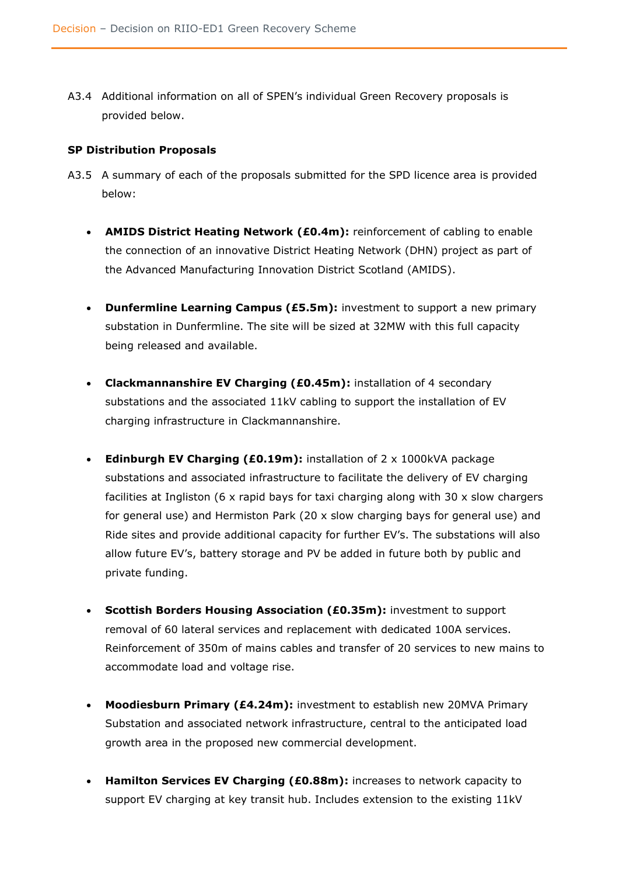A3.4 Additional information on all of SPEN's individual Green Recovery proposals is provided below.

#### <span id="page-26-0"></span>**SP Distribution Proposals**

- A3.5 A summary of each of the proposals submitted for the SPD licence area is provided below:
	- **AMIDS District Heating Network (£0.4m):** reinforcement of cabling to enable the connection of an innovative District Heating Network (DHN) project as part of the Advanced Manufacturing Innovation District Scotland (AMIDS).
	- **Dunfermline Learning Campus (£5.5m):** investment to support a new primary substation in Dunfermline. The site will be sized at 32MW with this full capacity being released and available.
	- **Clackmannanshire EV Charging (£0.45m):** installation of 4 secondary substations and the associated 11kV cabling to support the installation of EV charging infrastructure in Clackmannanshire.
	- **Edinburgh EV Charging (£0.19m):** installation of 2 x 1000kVA package substations and associated infrastructure to facilitate the delivery of EV charging facilities at Ingliston (6  $\times$  rapid bays for taxi charging along with 30  $\times$  slow chargers for general use) and Hermiston Park (20 x slow charging bays for general use) and Ride sites and provide additional capacity for further EV's. The substations will also allow future EV's, battery storage and PV be added in future both by public and private funding.
	- **Scottish Borders Housing Association (£0.35m):** investment to support removal of 60 lateral services and replacement with dedicated 100A services. Reinforcement of 350m of mains cables and transfer of 20 services to new mains to accommodate load and voltage rise.
	- **Moodiesburn Primary (£4.24m):** investment to establish new 20MVA Primary Substation and associated network infrastructure, central to the anticipated load growth area in the proposed new commercial development.
	- **Hamilton Services EV Charging (£0.88m):** increases to network capacity to support EV charging at key transit hub. Includes extension to the existing 11kV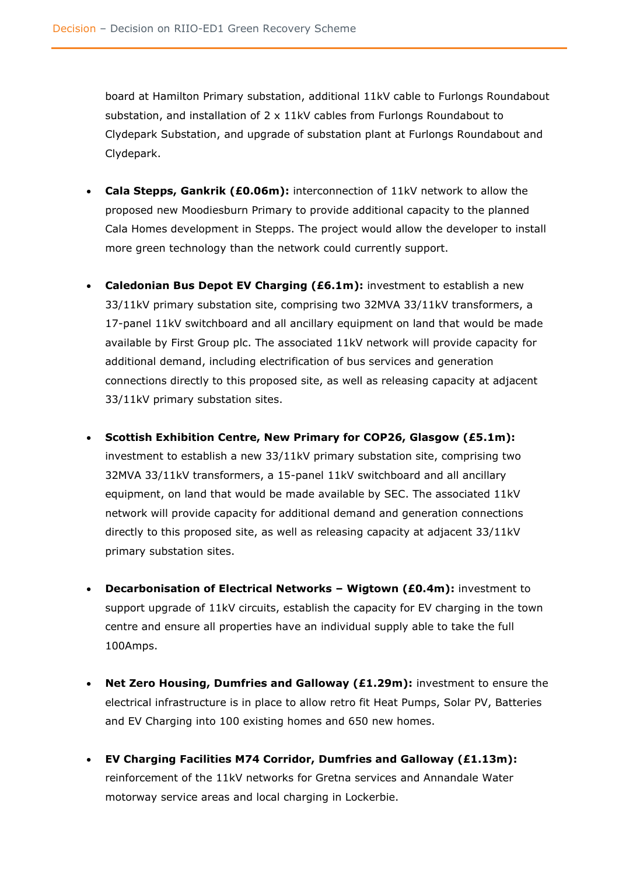board at Hamilton Primary substation, additional 11kV cable to Furlongs Roundabout substation, and installation of 2 x 11kV cables from Furlongs Roundabout to Clydepark Substation, and upgrade of substation plant at Furlongs Roundabout and Clydepark.

- **Cala Stepps, Gankrik (£0.06m):** interconnection of 11kV network to allow the proposed new Moodiesburn Primary to provide additional capacity to the planned Cala Homes development in Stepps. The project would allow the developer to install more green technology than the network could currently support.
- **Caledonian Bus Depot EV Charging (£6.1m):** investment to establish a new 33/11kV primary substation site, comprising two 32MVA 33/11kV transformers, a 17-panel 11kV switchboard and all ancillary equipment on land that would be made available by First Group plc. The associated 11kV network will provide capacity for additional demand, including electrification of bus services and generation connections directly to this proposed site, as well as releasing capacity at adjacent 33/11kV primary substation sites.
- **Scottish Exhibition Centre, New Primary for COP26, Glasgow (£5.1m):** investment to establish a new 33/11kV primary substation site, comprising two 32MVA 33/11kV transformers, a 15-panel 11kV switchboard and all ancillary equipment, on land that would be made available by SEC. The associated 11kV network will provide capacity for additional demand and generation connections directly to this proposed site, as well as releasing capacity at adjacent 33/11kV primary substation sites.
- **Decarbonisation of Electrical Networks – Wigtown (£0.4m):** investment to support upgrade of 11kV circuits, establish the capacity for EV charging in the town centre and ensure all properties have an individual supply able to take the full 100Amps.
- **Net Zero Housing, Dumfries and Galloway (£1.29m):** investment to ensure the electrical infrastructure is in place to allow retro fit Heat Pumps, Solar PV, Batteries and EV Charging into 100 existing homes and 650 new homes.
- **EV Charging Facilities M74 Corridor, Dumfries and Galloway (£1.13m):** reinforcement of the 11kV networks for Gretna services and Annandale Water motorway service areas and local charging in Lockerbie.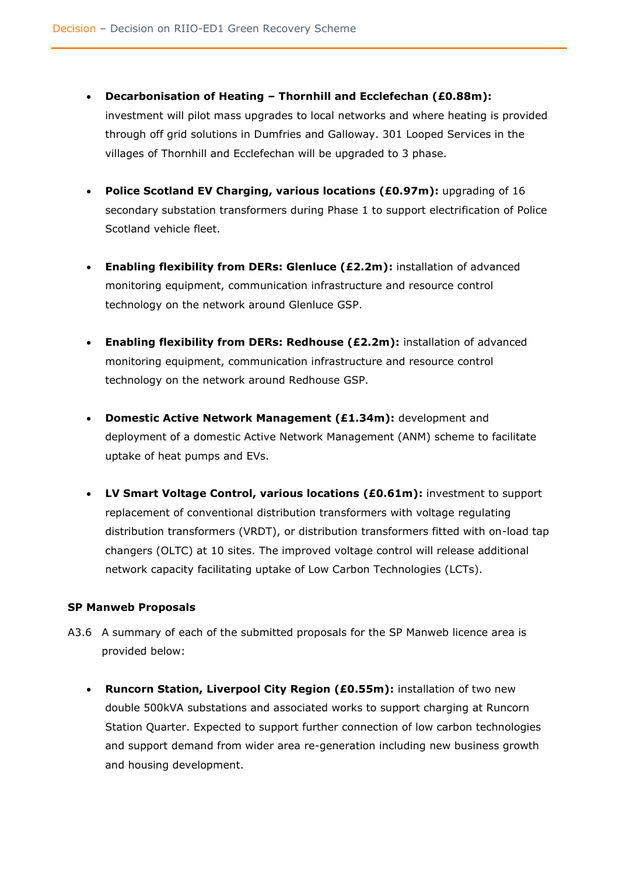- **Decarbonisation of Heating – Thornhill and Ecclefechan (£0.88m):** investment will pilot mass upgrades to local networks and where heating is provided through off grid solutions in Dumfries and Galloway. 301 Looped Services in the villages of Thornhill and Ecclefechan will be upgraded to 3 phase.
- **Police Scotland EV Charging, various locations (£0.97m):** upgrading of 16 secondary substation transformers during Phase 1 to support electrification of Police Scotland vehicle fleet.
- **Enabling flexibility from DERs: Glenluce (£2.2m):** installation of advanced monitoring equipment, communication infrastructure and resource control technology on the network around Glenluce GSP.
- **Enabling flexibility from DERs: Redhouse (£2.2m):** installation of advanced monitoring equipment, communication infrastructure and resource control technology on the network around Redhouse GSP.
- **Domestic Active Network Management (£1.34m):** development and deployment of a domestic Active Network Management (ANM) scheme to facilitate uptake of heat pumps and EVs.
- **LV Smart Voltage Control, various locations (£0.61m):** investment to support replacement of conventional distribution transformers with voltage regulating distribution transformers (VRDT), or distribution transformers fitted with on-load tap changers (OLTC) at 10 sites. The improved voltage control will release additional network capacity facilitating uptake of Low Carbon Technologies (LCTs).

#### <span id="page-28-0"></span>**SP Manweb Proposals**

- A3.6 A summary of each of the submitted proposals for the SP Manweb licence area is provided below:
	- **Runcorn Station, Liverpool City Region (£0.55m):** installation of two new double 500kVA substations and associated works to support charging at Runcorn Station Quarter. Expected to support further connection of low carbon technologies and support demand from wider area re-generation including new business growth and housing development.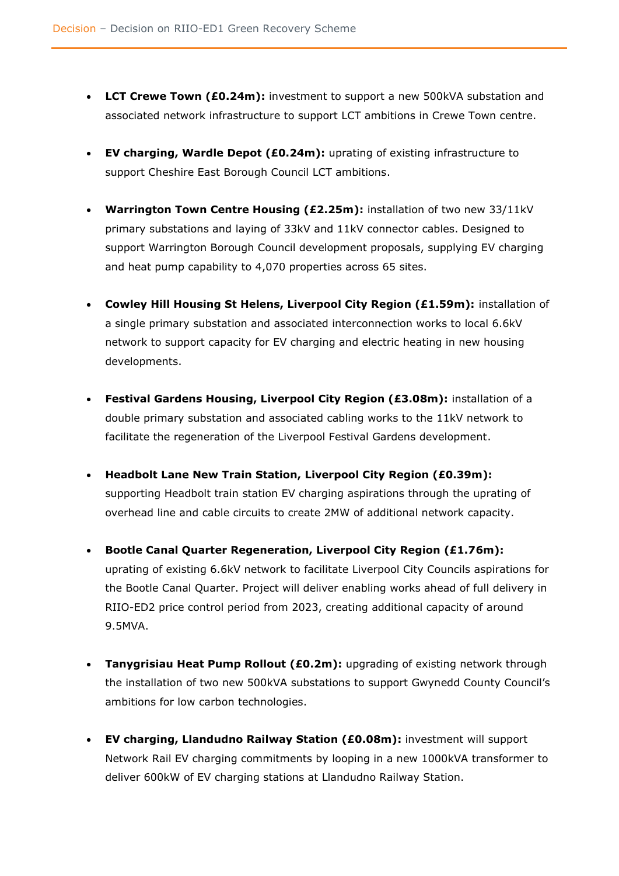- **LCT Crewe Town (£0.24m):** investment to support a new 500kVA substation and associated network infrastructure to support LCT ambitions in Crewe Town centre.
- **EV charging, Wardle Depot (£0.24m):** uprating of existing infrastructure to support Cheshire East Borough Council LCT ambitions.
- **Warrington Town Centre Housing (£2.25m):** installation of two new 33/11kV primary substations and laying of 33kV and 11kV connector cables. Designed to support Warrington Borough Council development proposals, supplying EV charging and heat pump capability to 4,070 properties across 65 sites.
- **Cowley Hill Housing St Helens, Liverpool City Region (£1.59m):** installation of a single primary substation and associated interconnection works to local 6.6kV network to support capacity for EV charging and electric heating in new housing developments.
- **Festival Gardens Housing, Liverpool City Region (£3.08m):** installation of a double primary substation and associated cabling works to the 11kV network to facilitate the regeneration of the Liverpool Festival Gardens development.
- **Headbolt Lane New Train Station, Liverpool City Region (£0.39m):** supporting Headbolt train station EV charging aspirations through the uprating of overhead line and cable circuits to create 2MW of additional network capacity.
- **Bootle Canal Quarter Regeneration, Liverpool City Region (£1.76m):** uprating of existing 6.6kV network to facilitate Liverpool City Councils aspirations for the Bootle Canal Quarter. Project will deliver enabling works ahead of full delivery in RIIO-ED2 price control period from 2023, creating additional capacity of around 9.5MVA.
- **Tanygrisiau Heat Pump Rollout (£0.2m):** upgrading of existing network through the installation of two new 500kVA substations to support Gwynedd County Council's ambitions for low carbon technologies.
- **EV charging, Llandudno Railway Station (£0.08m):** investment will support Network Rail EV charging commitments by looping in a new 1000kVA transformer to deliver 600kW of EV charging stations at Llandudno Railway Station.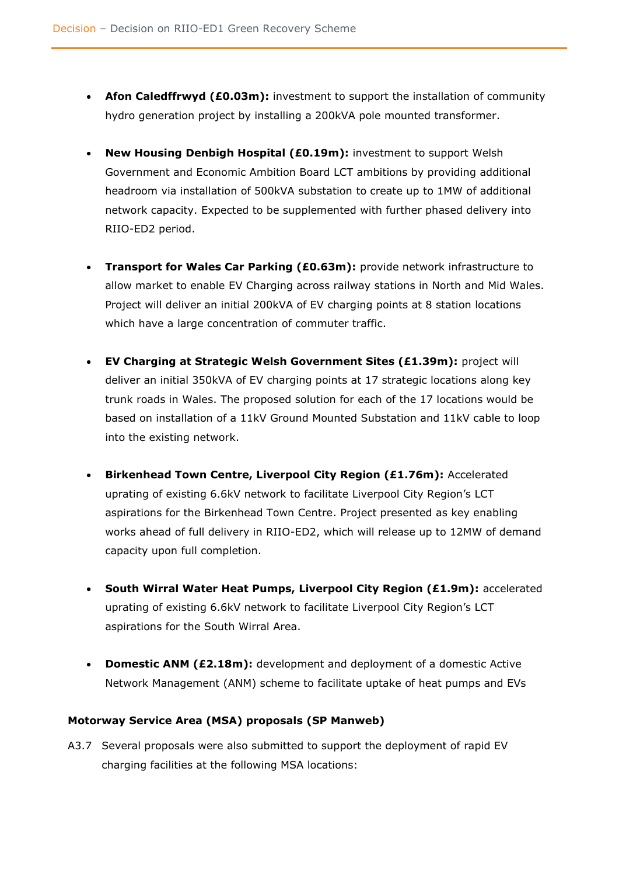- **Afon Caledffrwyd (£0.03m):** investment to support the installation of community hydro generation project by installing a 200kVA pole mounted transformer.
- **New Housing Denbigh Hospital (£0.19m):** investment to support Welsh Government and Economic Ambition Board LCT ambitions by providing additional headroom via installation of 500kVA substation to create up to 1MW of additional network capacity. Expected to be supplemented with further phased delivery into RIIO-ED2 period.
- **Transport for Wales Car Parking (£0.63m):** provide network infrastructure to allow market to enable EV Charging across railway stations in North and Mid Wales. Project will deliver an initial 200kVA of EV charging points at 8 station locations which have a large concentration of commuter traffic.
- **EV Charging at Strategic Welsh Government Sites (£1.39m):** project will deliver an initial 350kVA of EV charging points at 17 strategic locations along key trunk roads in Wales. The proposed solution for each of the 17 locations would be based on installation of a 11kV Ground Mounted Substation and 11kV cable to loop into the existing network.
- **Birkenhead Town Centre, Liverpool City Region (£1.76m):** Accelerated uprating of existing 6.6kV network to facilitate Liverpool City Region's LCT aspirations for the Birkenhead Town Centre. Project presented as key enabling works ahead of full delivery in RIIO-ED2, which will release up to 12MW of demand capacity upon full completion.
- **South Wirral Water Heat Pumps, Liverpool City Region (£1.9m):** accelerated uprating of existing 6.6kV network to facilitate Liverpool City Region's LCT aspirations for the South Wirral Area.
- **Domestic ANM (£2.18m):** development and deployment of a domestic Active Network Management (ANM) scheme to facilitate uptake of heat pumps and EVs

#### <span id="page-30-0"></span>**Motorway Service Area (MSA) proposals (SP Manweb)**

A3.7 Several proposals were also submitted to support the deployment of rapid EV charging facilities at the following MSA locations: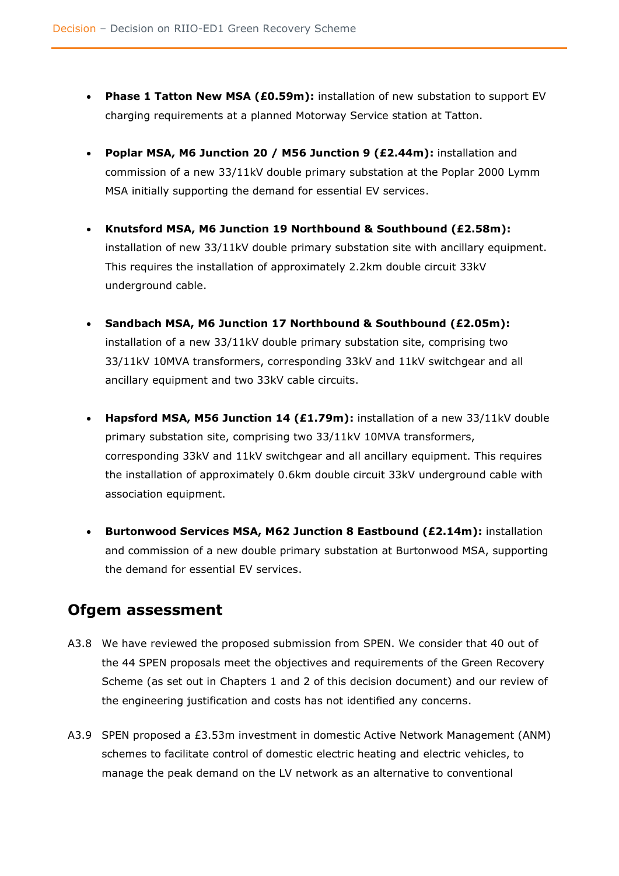- **Phase 1 Tatton New MSA (£0.59m):** installation of new substation to support EV charging requirements at a planned Motorway Service station at Tatton.
- **Poplar MSA, M6 Junction 20 / M56 Junction 9 (£2.44m):** installation and commission of a new 33/11kV double primary substation at the Poplar 2000 Lymm MSA initially supporting the demand for essential EV services.
- **Knutsford MSA, M6 Junction 19 Northbound & Southbound (£2.58m):**  installation of new 33/11kV double primary substation site with ancillary equipment. This requires the installation of approximately 2.2km double circuit 33kV underground cable.
- **Sandbach MSA, M6 Junction 17 Northbound & Southbound (£2.05m):**  installation of a new 33/11kV double primary substation site, comprising two 33/11kV 10MVA transformers, corresponding 33kV and 11kV switchgear and all ancillary equipment and two 33kV cable circuits.
- **Hapsford MSA, M56 Junction 14 (£1.79m):** installation of a new 33/11kV double primary substation site, comprising two 33/11kV 10MVA transformers, corresponding 33kV and 11kV switchgear and all ancillary equipment. This requires the installation of approximately 0.6km double circuit 33kV underground cable with association equipment.
- **Burtonwood Services MSA, M62 Junction 8 Eastbound (£2.14m):** installation and commission of a new double primary substation at Burtonwood MSA, supporting the demand for essential EV services.

# <span id="page-31-0"></span>**Ofgem assessment**

- A3.8 We have reviewed the proposed submission from SPEN. We consider that 40 out of the 44 SPEN proposals meet the objectives and requirements of the Green Recovery Scheme (as set out in Chapters 1 and 2 of this decision document) and our review of the engineering justification and costs has not identified any concerns.
- A3.9 SPEN proposed a £3.53m investment in domestic Active Network Management (ANM) schemes to facilitate control of domestic electric heating and electric vehicles, to manage the peak demand on the LV network as an alternative to conventional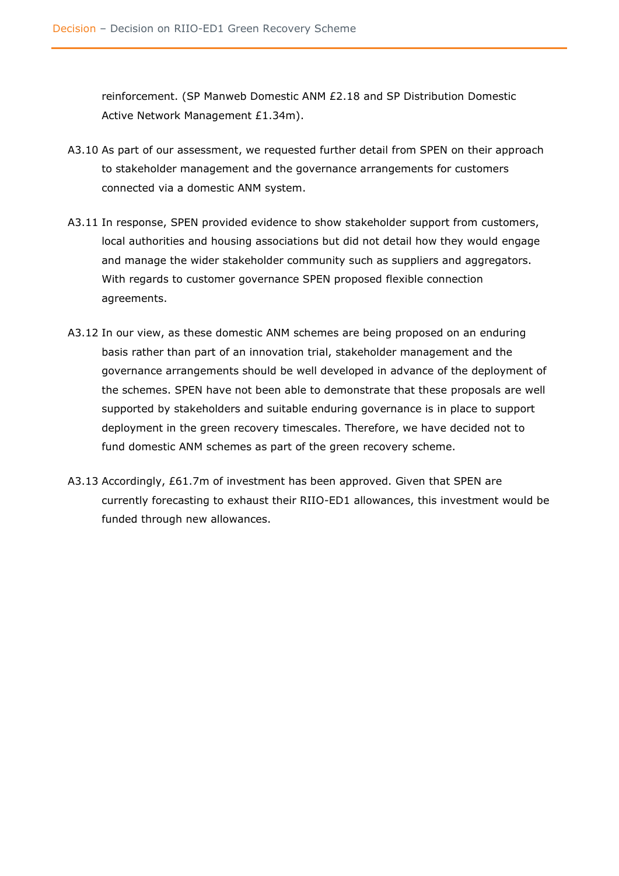reinforcement. (SP Manweb Domestic ANM £2.18 and SP Distribution Domestic Active Network Management £1.34m).

- A3.10 As part of our assessment, we requested further detail from SPEN on their approach to stakeholder management and the governance arrangements for customers connected via a domestic ANM system.
- A3.11 In response, SPEN provided evidence to show stakeholder support from customers, local authorities and housing associations but did not detail how they would engage and manage the wider stakeholder community such as suppliers and aggregators. With regards to customer governance SPEN proposed flexible connection agreements.
- A3.12 In our view, as these domestic ANM schemes are being proposed on an enduring basis rather than part of an innovation trial, stakeholder management and the governance arrangements should be well developed in advance of the deployment of the schemes. SPEN have not been able to demonstrate that these proposals are well supported by stakeholders and suitable enduring governance is in place to support deployment in the green recovery timescales. Therefore, we have decided not to fund domestic ANM schemes as part of the green recovery scheme.
- A3.13 Accordingly, £61.7m of investment has been approved. Given that SPEN are currently forecasting to exhaust their RIIO-ED1 allowances, this investment would be funded through new allowances.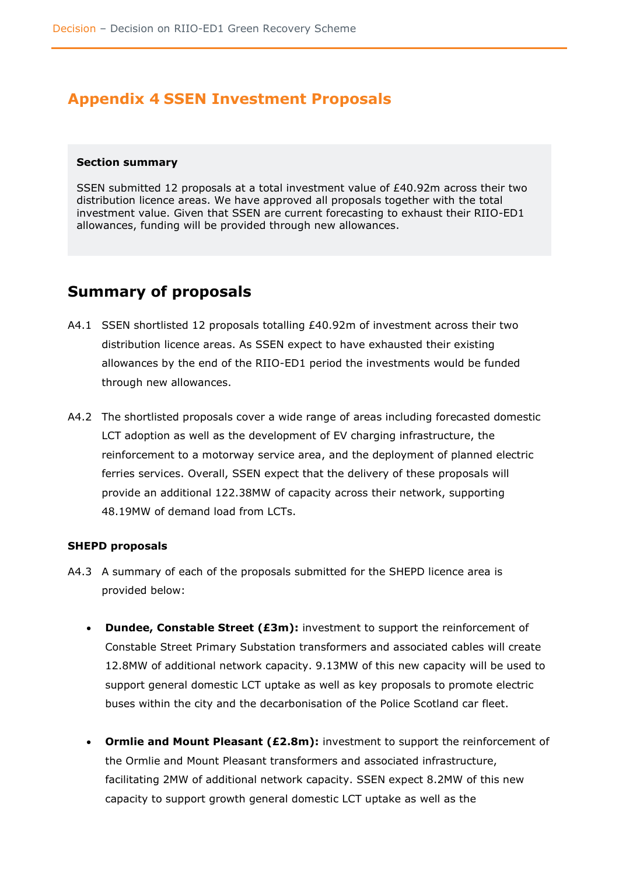# <span id="page-33-0"></span>**Appendix 4 SSEN Investment Proposals**

#### <span id="page-33-1"></span>**Section summary**

SSEN submitted 12 proposals at a total investment value of £40.92m across their two distribution licence areas. We have approved all proposals together with the total investment value. Given that SSEN are current forecasting to exhaust their RIIO-ED1 allowances, funding will be provided through new allowances.

# <span id="page-33-2"></span>**Summary of proposals**

- A4.1 SSEN shortlisted 12 proposals totalling £40.92m of investment across their two distribution licence areas. As SSEN expect to have exhausted their existing allowances by the end of the RIIO-ED1 period the investments would be funded through new allowances.
- A4.2 The shortlisted proposals cover a wide range of areas including forecasted domestic LCT adoption as well as the development of EV charging infrastructure, the reinforcement to a motorway service area, and the deployment of planned electric ferries services. Overall, SSEN expect that the delivery of these proposals will provide an additional 122.38MW of capacity across their network, supporting 48.19MW of demand load from LCTs.

#### <span id="page-33-3"></span>**SHEPD proposals**

- A4.3 A summary of each of the proposals submitted for the SHEPD licence area is provided below:
	- **Dundee, Constable Street (£3m):** investment to support the reinforcement of Constable Street Primary Substation transformers and associated cables will create 12.8MW of additional network capacity. 9.13MW of this new capacity will be used to support general domestic LCT uptake as well as key proposals to promote electric buses within the city and the decarbonisation of the Police Scotland car fleet.
	- **Ormlie and Mount Pleasant (£2.8m):** investment to support the reinforcement of the Ormlie and Mount Pleasant transformers and associated infrastructure, facilitating 2MW of additional network capacity. SSEN expect 8.2MW of this new capacity to support growth general domestic LCT uptake as well as the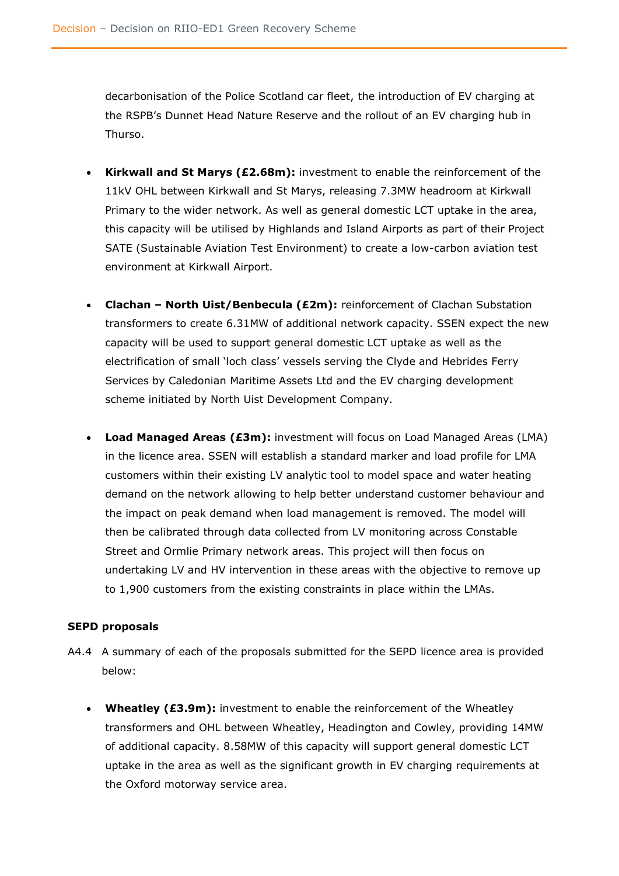decarbonisation of the Police Scotland car fleet, the introduction of EV charging at the RSPB's Dunnet Head Nature Reserve and the rollout of an EV charging hub in Thurso.

- **Kirkwall and St Marys (£2.68m):** investment to enable the reinforcement of the 11kV OHL between Kirkwall and St Marys, releasing 7.3MW headroom at Kirkwall Primary to the wider network. As well as general domestic LCT uptake in the area, this capacity will be utilised by Highlands and Island Airports as part of their Project SATE (Sustainable Aviation Test Environment) to create a low-carbon aviation test environment at Kirkwall Airport.
- **Clachan – North Uist/Benbecula (£2m):** reinforcement of Clachan Substation transformers to create 6.31MW of additional network capacity. SSEN expect the new capacity will be used to support general domestic LCT uptake as well as the electrification of small 'loch class' vessels serving the Clyde and Hebrides Ferry Services by Caledonian Maritime Assets Ltd and the EV charging development scheme initiated by North Uist Development Company.
- **Load Managed Areas (£3m):** investment will focus on Load Managed Areas (LMA) in the licence area. SSEN will establish a standard marker and load profile for LMA customers within their existing LV analytic tool to model space and water heating demand on the network allowing to help better understand customer behaviour and the impact on peak demand when load management is removed. The model will then be calibrated through data collected from LV monitoring across Constable Street and Ormlie Primary network areas. This project will then focus on undertaking LV and HV intervention in these areas with the objective to remove up to 1,900 customers from the existing constraints in place within the LMAs.

#### <span id="page-34-0"></span>**SEPD proposals**

- A4.4 A summary of each of the proposals submitted for the SEPD licence area is provided below:
	- **Wheatley (£3.9m):** investment to enable the reinforcement of the Wheatley transformers and OHL between Wheatley, Headington and Cowley, providing 14MW of additional capacity. 8.58MW of this capacity will support general domestic LCT uptake in the area as well as the significant growth in EV charging requirements at the Oxford motorway service area.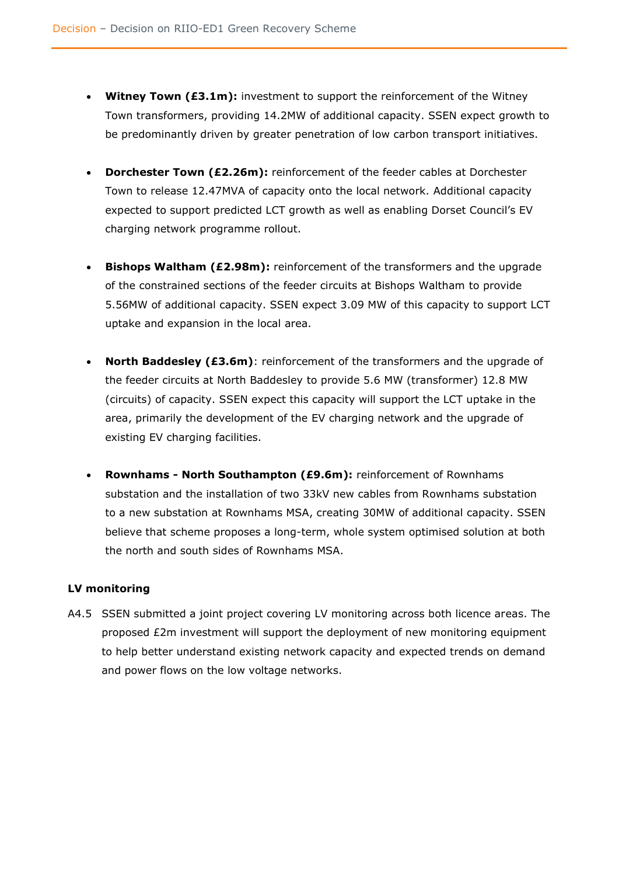- **Witney Town (£3.1m):** investment to support the reinforcement of the Witney Town transformers, providing 14.2MW of additional capacity. SSEN expect growth to be predominantly driven by greater penetration of low carbon transport initiatives.
- **Dorchester Town (£2.26m):** reinforcement of the feeder cables at Dorchester Town to release 12.47MVA of capacity onto the local network. Additional capacity expected to support predicted LCT growth as well as enabling Dorset Council's EV charging network programme rollout.
- **Bishops Waltham (£2.98m):** reinforcement of the transformers and the upgrade of the constrained sections of the feeder circuits at Bishops Waltham to provide 5.56MW of additional capacity. SSEN expect 3.09 MW of this capacity to support LCT uptake and expansion in the local area.
- **North Baddesley (£3.6m)**: reinforcement of the transformers and the upgrade of the feeder circuits at North Baddesley to provide 5.6 MW (transformer) 12.8 MW (circuits) of capacity. SSEN expect this capacity will support the LCT uptake in the area, primarily the development of the EV charging network and the upgrade of existing EV charging facilities.
- **Rownhams - North Southampton (£9.6m):** reinforcement of Rownhams substation and the installation of two 33kV new cables from Rownhams substation to a new substation at Rownhams MSA, creating 30MW of additional capacity. SSEN believe that scheme proposes a long-term, whole system optimised solution at both the north and south sides of Rownhams MSA.

#### <span id="page-35-0"></span>**LV monitoring**

A4.5 SSEN submitted a joint project covering LV monitoring across both licence areas. The proposed £2m investment will support the deployment of new monitoring equipment to help better understand existing network capacity and expected trends on demand and power flows on the low voltage networks.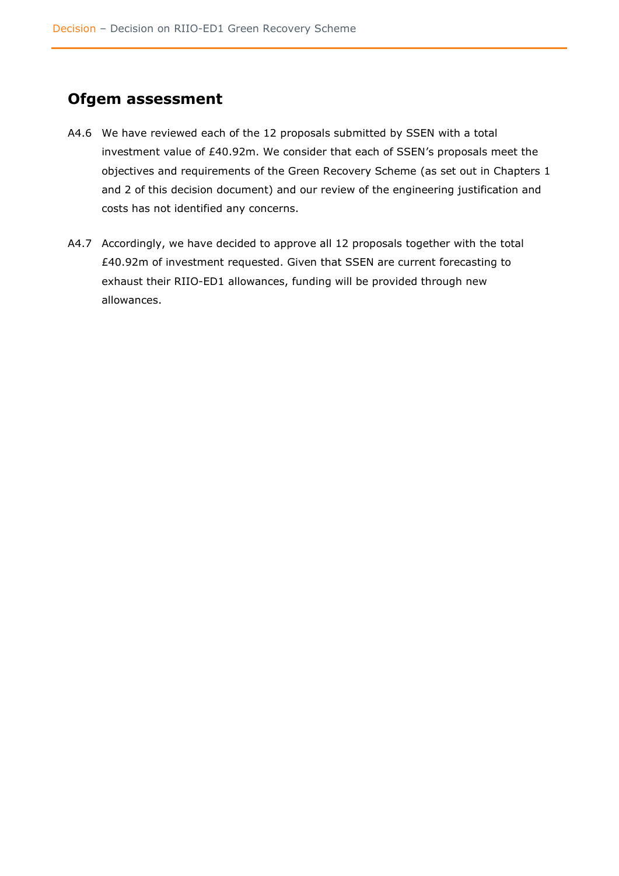# <span id="page-36-0"></span>**Ofgem assessment**

- A4.6 We have reviewed each of the 12 proposals submitted by SSEN with a total investment value of £40.92m. We consider that each of SSEN's proposals meet the objectives and requirements of the Green Recovery Scheme (as set out in Chapters 1 and 2 of this decision document) and our review of the engineering justification and costs has not identified any concerns.
- A4.7 Accordingly, we have decided to approve all 12 proposals together with the total £40.92m of investment requested. Given that SSEN are current forecasting to exhaust their RIIO-ED1 allowances, funding will be provided through new allowances.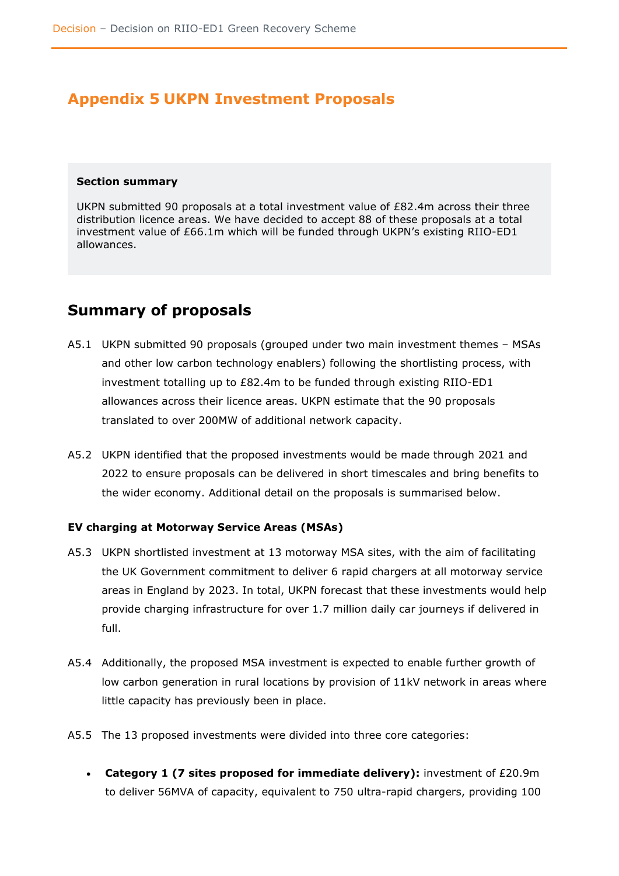# <span id="page-37-0"></span>**Appendix 5 UKPN Investment Proposals**

#### <span id="page-37-1"></span>**Section summary**

UKPN submitted 90 proposals at a total investment value of £82.4m across their three distribution licence areas. We have decided to accept 88 of these proposals at a total investment value of £66.1m which will be funded through UKPN's existing RIIO-ED1 allowances.

### <span id="page-37-2"></span>**Summary of proposals**

- A5.1 UKPN submitted 90 proposals (grouped under two main investment themes MSAs and other low carbon technology enablers) following the shortlisting process, with investment totalling up to £82.4m to be funded through existing RIIO-ED1 allowances across their licence areas. UKPN estimate that the 90 proposals translated to over 200MW of additional network capacity.
- A5.2 UKPN identified that the proposed investments would be made through 2021 and 2022 to ensure proposals can be delivered in short timescales and bring benefits to the wider economy. Additional detail on the proposals is summarised below.

#### <span id="page-37-3"></span>**EV charging at Motorway Service Areas (MSAs)**

- A5.3 UKPN shortlisted investment at 13 motorway MSA sites, with the aim of facilitating the UK Government commitment to deliver 6 rapid chargers at all motorway service areas in England by 2023. In total, UKPN forecast that these investments would help provide charging infrastructure for over 1.7 million daily car journeys if delivered in full.
- A5.4 Additionally, the proposed MSA investment is expected to enable further growth of low carbon generation in rural locations by provision of 11kV network in areas where little capacity has previously been in place.
- A5.5 The 13 proposed investments were divided into three core categories:
	- **Category 1 (7 sites proposed for immediate delivery):** investment of £20.9m to deliver 56MVA of capacity, equivalent to 750 ultra-rapid chargers, providing 100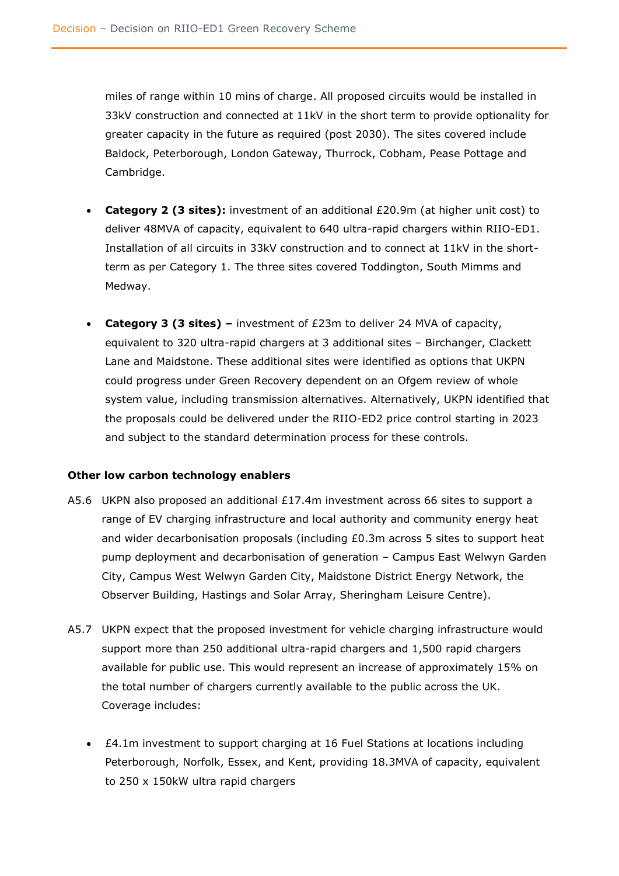miles of range within 10 mins of charge. All proposed circuits would be installed in 33kV construction and connected at 11kV in the short term to provide optionality for greater capacity in the future as required (post 2030). The sites covered include Baldock, Peterborough, London Gateway, Thurrock, Cobham, Pease Pottage and Cambridge.

- **Category 2 (3 sites):** investment of an additional £20.9m (at higher unit cost) to deliver 48MVA of capacity, equivalent to 640 ultra-rapid chargers within RIIO-ED1. Installation of all circuits in 33kV construction and to connect at 11kV in the shortterm as per Category 1. The three sites covered Toddington, South Mimms and Medway.
- **Category 3 (3 sites) –** investment of £23m to deliver 24 MVA of capacity, equivalent to 320 ultra-rapid chargers at 3 additional sites – Birchanger, Clackett Lane and Maidstone. These additional sites were identified as options that UKPN could progress under Green Recovery dependent on an Ofgem review of whole system value, including transmission alternatives. Alternatively, UKPN identified that the proposals could be delivered under the RIIO-ED2 price control starting in 2023 and subject to the standard determination process for these controls.

#### <span id="page-38-0"></span>**Other low carbon technology enablers**

- A5.6 UKPN also proposed an additional £17.4m investment across 66 sites to support a range of EV charging infrastructure and local authority and community energy heat and wider decarbonisation proposals (including £0.3m across 5 sites to support heat pump deployment and decarbonisation of generation – Campus East Welwyn Garden City, Campus West Welwyn Garden City, Maidstone District Energy Network, the Observer Building, Hastings and Solar Array, Sheringham Leisure Centre).
- A5.7 UKPN expect that the proposed investment for vehicle charging infrastructure would support more than 250 additional ultra-rapid chargers and 1,500 rapid chargers available for public use. This would represent an increase of approximately 15% on the total number of chargers currently available to the public across the UK. Coverage includes:
	- £4.1m investment to support charging at 16 Fuel Stations at locations including Peterborough, Norfolk, Essex, and Kent, providing 18.3MVA of capacity, equivalent to 250 x 150kW ultra rapid chargers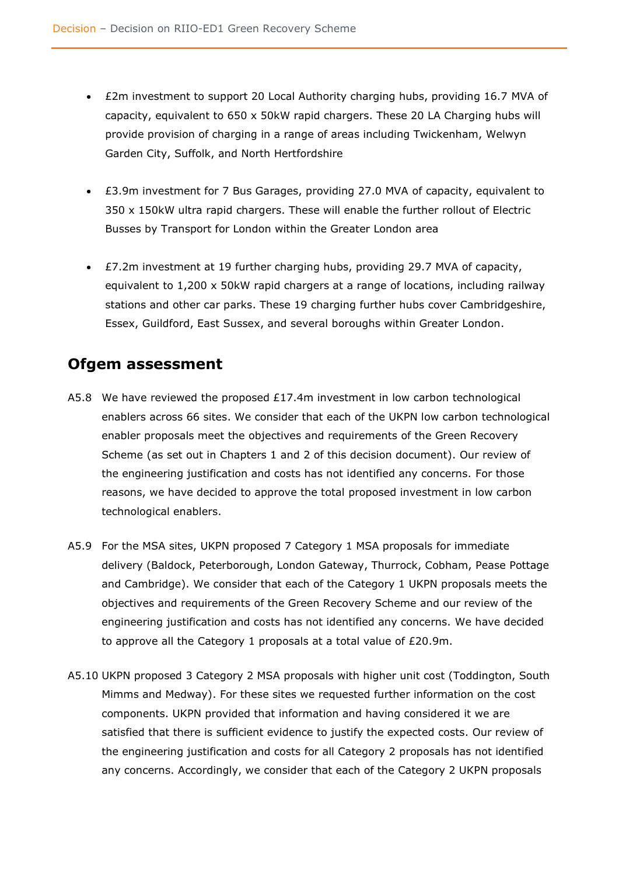- £2m investment to support 20 Local Authority charging hubs, providing 16.7 MVA of capacity, equivalent to 650 x 50kW rapid chargers. These 20 LA Charging hubs will provide provision of charging in a range of areas including Twickenham, Welwyn Garden City, Suffolk, and North Hertfordshire
- £3.9m investment for 7 Bus Garages, providing 27.0 MVA of capacity, equivalent to 350 x 150kW ultra rapid chargers. These will enable the further rollout of Electric Busses by Transport for London within the Greater London area
- £7.2m investment at 19 further charging hubs, providing 29.7 MVA of capacity, equivalent to 1,200 x 50kW rapid chargers at a range of locations, including railway stations and other car parks. These 19 charging further hubs cover Cambridgeshire, Essex, Guildford, East Sussex, and several boroughs within Greater London.

# <span id="page-39-0"></span>**Ofgem assessment**

- A5.8 We have reviewed the proposed  $£17.4m$  investment in low carbon technological enablers across 66 sites. We consider that each of the UKPN low carbon technological enabler proposals meet the objectives and requirements of the Green Recovery Scheme (as set out in Chapters 1 and 2 of this decision document). Our review of the engineering justification and costs has not identified any concerns. For those reasons, we have decided to approve the total proposed investment in low carbon technological enablers.
- A5.9 For the MSA sites, UKPN proposed 7 Category 1 MSA proposals for immediate delivery (Baldock, Peterborough, London Gateway, Thurrock, Cobham, Pease Pottage and Cambridge). We consider that each of the Category 1 UKPN proposals meets the objectives and requirements of the Green Recovery Scheme and our review of the engineering justification and costs has not identified any concerns. We have decided to approve all the Category 1 proposals at a total value of £20.9m.
- A5.10 UKPN proposed 3 Category 2 MSA proposals with higher unit cost (Toddington, South Mimms and Medway). For these sites we requested further information on the cost components. UKPN provided that information and having considered it we are satisfied that there is sufficient evidence to justify the expected costs. Our review of the engineering justification and costs for all Category 2 proposals has not identified any concerns. Accordingly, we consider that each of the Category 2 UKPN proposals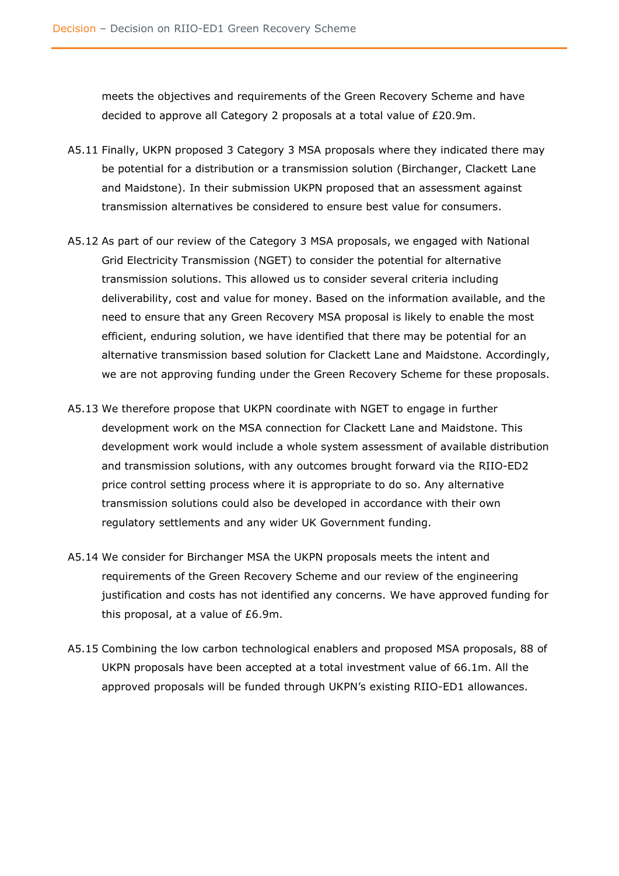meets the objectives and requirements of the Green Recovery Scheme and have decided to approve all Category 2 proposals at a total value of £20.9m.

- A5.11 Finally, UKPN proposed 3 Category 3 MSA proposals where they indicated there may be potential for a distribution or a transmission solution (Birchanger, Clackett Lane and Maidstone). In their submission UKPN proposed that an assessment against transmission alternatives be considered to ensure best value for consumers.
- A5.12 As part of our review of the Category 3 MSA proposals, we engaged with National Grid Electricity Transmission (NGET) to consider the potential for alternative transmission solutions. This allowed us to consider several criteria including deliverability, cost and value for money. Based on the information available, and the need to ensure that any Green Recovery MSA proposal is likely to enable the most efficient, enduring solution, we have identified that there may be potential for an alternative transmission based solution for Clackett Lane and Maidstone. Accordingly, we are not approving funding under the Green Recovery Scheme for these proposals.
- A5.13 We therefore propose that UKPN coordinate with NGET to engage in further development work on the MSA connection for Clackett Lane and Maidstone. This development work would include a whole system assessment of available distribution and transmission solutions, with any outcomes brought forward via the RIIO-ED2 price control setting process where it is appropriate to do so. Any alternative transmission solutions could also be developed in accordance with their own regulatory settlements and any wider UK Government funding.
- A5.14 We consider for Birchanger MSA the UKPN proposals meets the intent and requirements of the Green Recovery Scheme and our review of the engineering justification and costs has not identified any concerns. We have approved funding for this proposal, at a value of £6.9m.
- A5.15 Combining the low carbon technological enablers and proposed MSA proposals, 88 of UKPN proposals have been accepted at a total investment value of 66.1m. All the approved proposals will be funded through UKPN's existing RIIO-ED1 allowances.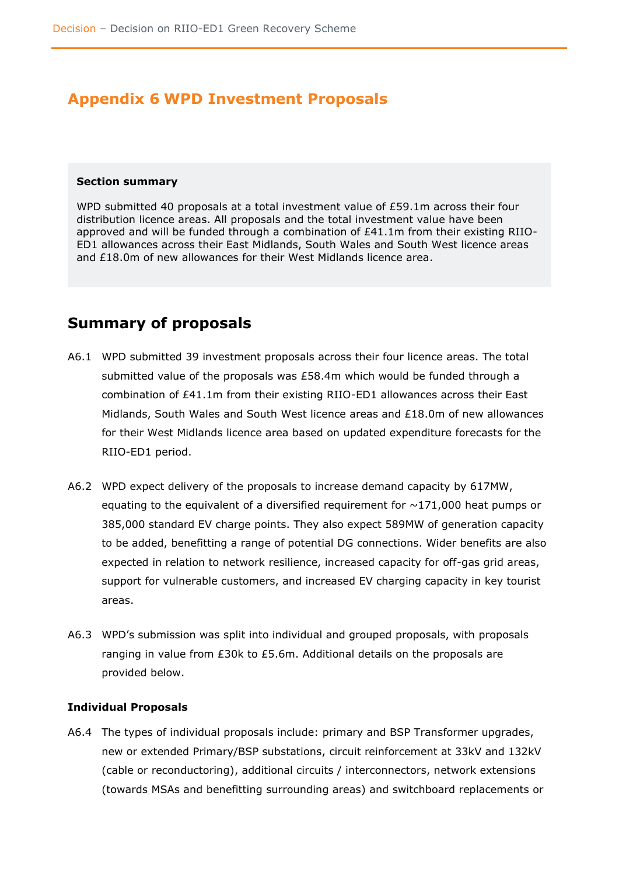# <span id="page-41-0"></span>**Appendix 6 WPD Investment Proposals**

#### <span id="page-41-1"></span>**Section summary**

WPD submitted 40 proposals at a total investment value of £59.1m across their four distribution licence areas. All proposals and the total investment value have been approved and will be funded through a combination of £41.1m from their existing RIIO-ED1 allowances across their East Midlands, South Wales and South West licence areas and £18.0m of new allowances for their West Midlands licence area.

# <span id="page-41-2"></span>**Summary of proposals**

- A6.1 WPD submitted 39 investment proposals across their four licence areas. The total submitted value of the proposals was £58.4m which would be funded through a combination of £41.1m from their existing RIIO-ED1 allowances across their East Midlands, South Wales and South West licence areas and £18.0m of new allowances for their West Midlands licence area based on updated expenditure forecasts for the RIIO-ED1 period.
- A6.2 WPD expect delivery of the proposals to increase demand capacity by 617MW, equating to the equivalent of a diversified requirement for  $\sim$ 171,000 heat pumps or 385,000 standard EV charge points. They also expect 589MW of generation capacity to be added, benefitting a range of potential DG connections. Wider benefits are also expected in relation to network resilience, increased capacity for off-gas grid areas, support for vulnerable customers, and increased EV charging capacity in key tourist areas.
- A6.3 WPD's submission was split into individual and grouped proposals, with proposals ranging in value from £30k to £5.6m. Additional details on the proposals are provided below.

#### <span id="page-41-3"></span>**Individual Proposals**

A6.4 The types of individual proposals include: primary and BSP Transformer upgrades, new or extended Primary/BSP substations, circuit reinforcement at 33kV and 132kV (cable or reconductoring), additional circuits / interconnectors, network extensions (towards MSAs and benefitting surrounding areas) and switchboard replacements or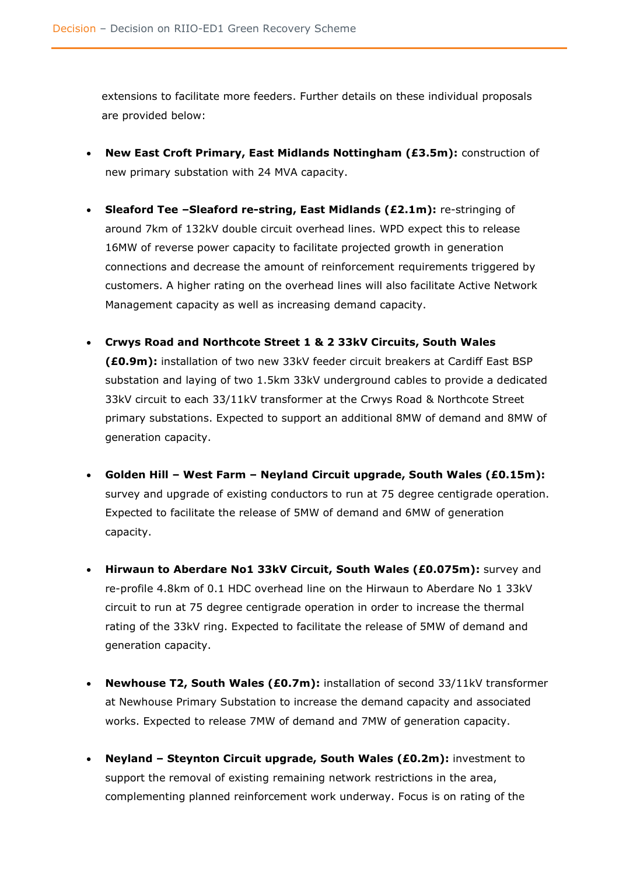extensions to facilitate more feeders. Further details on these individual proposals are provided below:

- **New East Croft Primary, East Midlands Nottingham (£3.5m):** construction of new primary substation with 24 MVA capacity.
- **Sleaford Tee –Sleaford re-string, East Midlands (£2.1m):** re-stringing of around 7km of 132kV double circuit overhead lines. WPD expect this to release 16MW of reverse power capacity to facilitate projected growth in generation connections and decrease the amount of reinforcement requirements triggered by customers. A higher rating on the overhead lines will also facilitate Active Network Management capacity as well as increasing demand capacity.
- **Crwys Road and Northcote Street 1 & 2 33kV Circuits, South Wales (£0.9m):** installation of two new 33kV feeder circuit breakers at Cardiff East BSP substation and laying of two 1.5km 33kV underground cables to provide a dedicated 33kV circuit to each 33/11kV transformer at the Crwys Road & Northcote Street primary substations. Expected to support an additional 8MW of demand and 8MW of generation capacity.
- **Golden Hill – West Farm – Neyland Circuit upgrade, South Wales (£0.15m):** survey and upgrade of existing conductors to run at 75 degree centigrade operation. Expected to facilitate the release of 5MW of demand and 6MW of generation capacity.
- **Hirwaun to Aberdare No1 33kV Circuit, South Wales (£0.075m):** survey and re-profile 4.8km of 0.1 HDC overhead line on the Hirwaun to Aberdare No 1 33kV circuit to run at 75 degree centigrade operation in order to increase the thermal rating of the 33kV ring. Expected to facilitate the release of 5MW of demand and generation capacity.
- **Newhouse T2, South Wales (£0.7m):** installation of second 33/11kV transformer at Newhouse Primary Substation to increase the demand capacity and associated works. Expected to release 7MW of demand and 7MW of generation capacity.
- **Neyland – Steynton Circuit upgrade, South Wales (£0.2m):** investment to support the removal of existing remaining network restrictions in the area, complementing planned reinforcement work underway. Focus is on rating of the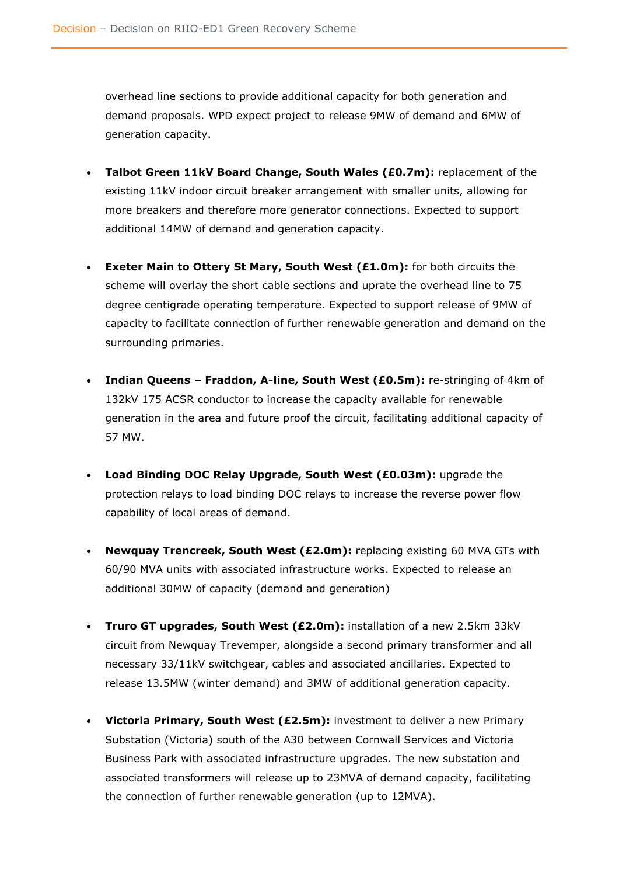overhead line sections to provide additional capacity for both generation and demand proposals. WPD expect project to release 9MW of demand and 6MW of generation capacity.

- **Talbot Green 11kV Board Change, South Wales (£0.7m):** replacement of the existing 11kV indoor circuit breaker arrangement with smaller units, allowing for more breakers and therefore more generator connections. Expected to support additional 14MW of demand and generation capacity.
- **Exeter Main to Ottery St Mary, South West (£1.0m):** for both circuits the scheme will overlay the short cable sections and uprate the overhead line to 75 degree centigrade operating temperature. Expected to support release of 9MW of capacity to facilitate connection of further renewable generation and demand on the surrounding primaries.
- **Indian Queens – Fraddon, A-line, South West (£0.5m):** re-stringing of 4km of 132kV 175 ACSR conductor to increase the capacity available for renewable generation in the area and future proof the circuit, facilitating additional capacity of 57 MW.
- **Load Binding DOC Relay Upgrade, South West (£0.03m):** upgrade the protection relays to load binding DOC relays to increase the reverse power flow capability of local areas of demand.
- **Newquay Trencreek, South West (£2.0m):** replacing existing 60 MVA GTs with 60/90 MVA units with associated infrastructure works. Expected to release an additional 30MW of capacity (demand and generation)
- **Truro GT upgrades, South West (£2.0m):** installation of a new 2.5km 33kV circuit from Newquay Trevemper, alongside a second primary transformer and all necessary 33/11kV switchgear, cables and associated ancillaries. Expected to release 13.5MW (winter demand) and 3MW of additional generation capacity.
- **Victoria Primary, South West (£2.5m):** investment to deliver a new Primary Substation (Victoria) south of the A30 between Cornwall Services and Victoria Business Park with associated infrastructure upgrades. The new substation and associated transformers will release up to 23MVA of demand capacity, facilitating the connection of further renewable generation (up to 12MVA).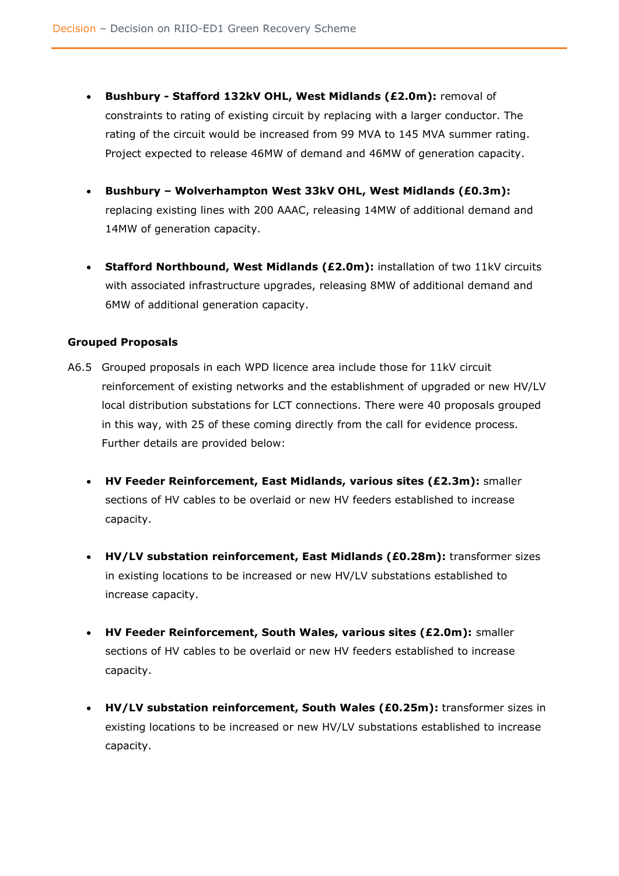- **Bushbury - Stafford 132kV OHL, West Midlands (£2.0m):** removal of constraints to rating of existing circuit by replacing with a larger conductor. The rating of the circuit would be increased from 99 MVA to 145 MVA summer rating. Project expected to release 46MW of demand and 46MW of generation capacity.
- **Bushbury – Wolverhampton West 33kV OHL, West Midlands (£0.3m):** replacing existing lines with 200 AAAC, releasing 14MW of additional demand and 14MW of generation capacity.
- **Stafford Northbound, West Midlands (£2.0m):** installation of two 11kV circuits with associated infrastructure upgrades, releasing 8MW of additional demand and 6MW of additional generation capacity.

#### <span id="page-44-0"></span>**Grouped Proposals**

- A6.5 Grouped proposals in each WPD licence area include those for 11kV circuit reinforcement of existing networks and the establishment of upgraded or new HV/LV local distribution substations for LCT connections. There were 40 proposals grouped in this way, with 25 of these coming directly from the call for evidence process. Further details are provided below:
	- **HV Feeder Reinforcement, East Midlands, various sites (£2.3m):** smaller sections of HV cables to be overlaid or new HV feeders established to increase capacity.
	- **HV/LV substation reinforcement, East Midlands (£0.28m):** transformer sizes in existing locations to be increased or new HV/LV substations established to increase capacity.
	- **HV Feeder Reinforcement, South Wales, various sites (£2.0m):** smaller sections of HV cables to be overlaid or new HV feeders established to increase capacity.
	- **HV/LV substation reinforcement, South Wales (£0.25m):** transformer sizes in existing locations to be increased or new HV/LV substations established to increase capacity.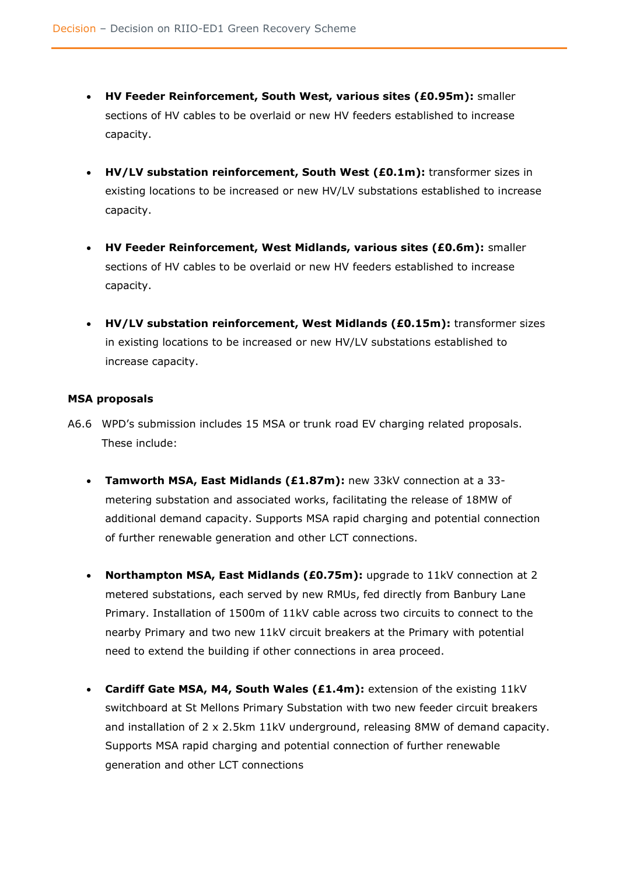- **HV Feeder Reinforcement, South West, various sites (£0.95m):** smaller sections of HV cables to be overlaid or new HV feeders established to increase capacity.
- **HV/LV substation reinforcement, South West (£0.1m):** transformer sizes in existing locations to be increased or new HV/LV substations established to increase capacity.
- **HV Feeder Reinforcement, West Midlands, various sites (£0.6m):** smaller sections of HV cables to be overlaid or new HV feeders established to increase capacity.
- **HV/LV substation reinforcement, West Midlands (£0.15m):** transformer sizes in existing locations to be increased or new HV/LV substations established to increase capacity.

### <span id="page-45-0"></span>**MSA proposals**

- A6.6 WPD's submission includes 15 MSA or trunk road EV charging related proposals. These include:
	- **Tamworth MSA, East Midlands (£1.87m):** new 33kV connection at a 33 metering substation and associated works, facilitating the release of 18MW of additional demand capacity. Supports MSA rapid charging and potential connection of further renewable generation and other LCT connections.
	- **Northampton MSA, East Midlands (£0.75m):** upgrade to 11kV connection at 2 metered substations, each served by new RMUs, fed directly from Banbury Lane Primary. Installation of 1500m of 11kV cable across two circuits to connect to the nearby Primary and two new 11kV circuit breakers at the Primary with potential need to extend the building if other connections in area proceed.
	- **Cardiff Gate MSA, M4, South Wales (£1.4m):** extension of the existing 11kV switchboard at St Mellons Primary Substation with two new feeder circuit breakers and installation of 2 x 2.5km 11kV underground, releasing 8MW of demand capacity. Supports MSA rapid charging and potential connection of further renewable generation and other LCT connections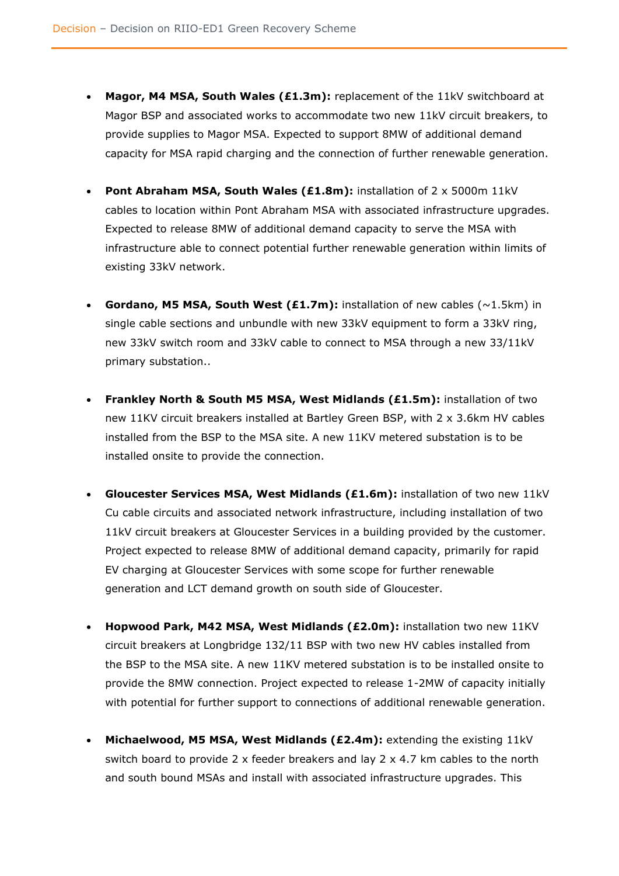- **Magor, M4 MSA, South Wales (£1.3m):** replacement of the 11kV switchboard at Magor BSP and associated works to accommodate two new 11kV circuit breakers, to provide supplies to Magor MSA. Expected to support 8MW of additional demand capacity for MSA rapid charging and the connection of further renewable generation.
- **Pont Abraham MSA, South Wales (£1.8m):** installation of 2 x 5000m 11kV cables to location within Pont Abraham MSA with associated infrastructure upgrades. Expected to release 8MW of additional demand capacity to serve the MSA with infrastructure able to connect potential further renewable generation within limits of existing 33kV network.
- **Gordano, M5 MSA, South West (£1.7m):** installation of new cables (~1.5km) in single cable sections and unbundle with new 33kV equipment to form a 33kV ring, new 33kV switch room and 33kV cable to connect to MSA through a new 33/11kV primary substation..
- **Frankley North & South M5 MSA, West Midlands (£1.5m):** installation of two new 11KV circuit breakers installed at Bartley Green BSP, with 2 x 3.6km HV cables installed from the BSP to the MSA site. A new 11KV metered substation is to be installed onsite to provide the connection.
- **Gloucester Services MSA, West Midlands (£1.6m):** installation of two new 11kV Cu cable circuits and associated network infrastructure, including installation of two 11kV circuit breakers at Gloucester Services in a building provided by the customer. Project expected to release 8MW of additional demand capacity, primarily for rapid EV charging at Gloucester Services with some scope for further renewable generation and LCT demand growth on south side of Gloucester.
- **Hopwood Park, M42 MSA, West Midlands (£2.0m):** installation two new 11KV circuit breakers at Longbridge 132/11 BSP with two new HV cables installed from the BSP to the MSA site. A new 11KV metered substation is to be installed onsite to provide the 8MW connection. Project expected to release 1-2MW of capacity initially with potential for further support to connections of additional renewable generation.
- **Michaelwood, M5 MSA, West Midlands (£2.4m):** extending the existing 11kV switch board to provide 2 x feeder breakers and lay 2 x 4.7 km cables to the north and south bound MSAs and install with associated infrastructure upgrades. This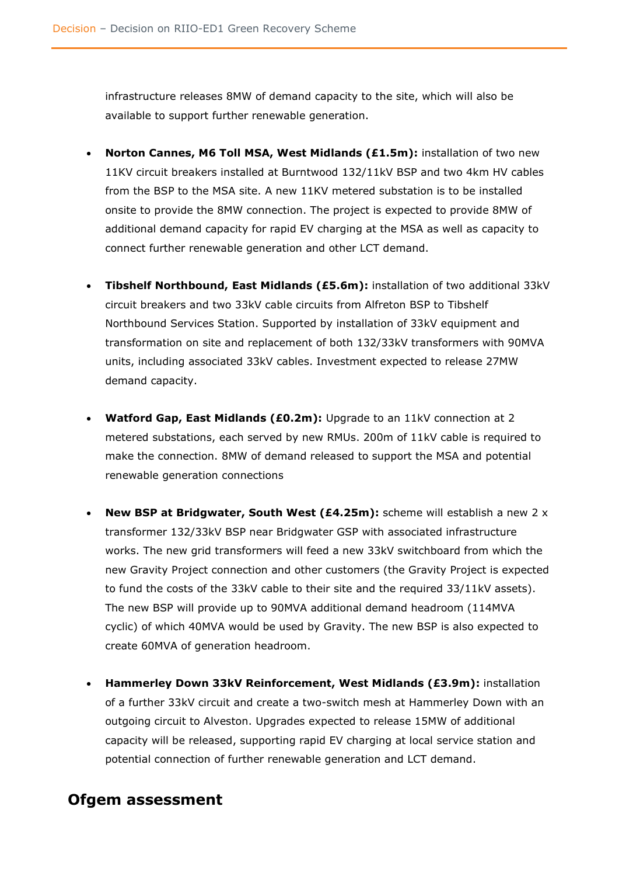infrastructure releases 8MW of demand capacity to the site, which will also be available to support further renewable generation.

- **Norton Cannes, M6 Toll MSA, West Midlands (£1.5m):** installation of two new 11KV circuit breakers installed at Burntwood 132/11kV BSP and two 4km HV cables from the BSP to the MSA site. A new 11KV metered substation is to be installed onsite to provide the 8MW connection. The project is expected to provide 8MW of additional demand capacity for rapid EV charging at the MSA as well as capacity to connect further renewable generation and other LCT demand.
- **Tibshelf Northbound, East Midlands (£5.6m):** installation of two additional 33kV circuit breakers and two 33kV cable circuits from Alfreton BSP to Tibshelf Northbound Services Station. Supported by installation of 33kV equipment and transformation on site and replacement of both 132/33kV transformers with 90MVA units, including associated 33kV cables. Investment expected to release 27MW demand capacity.
- **Watford Gap, East Midlands (£0.2m):** Upgrade to an 11kV connection at 2 metered substations, each served by new RMUs. 200m of 11kV cable is required to make the connection. 8MW of demand released to support the MSA and potential renewable generation connections
- **New BSP at Bridgwater, South West (£4.25m):** scheme will establish a new 2 x transformer 132/33kV BSP near Bridgwater GSP with associated infrastructure works. The new grid transformers will feed a new 33kV switchboard from which the new Gravity Project connection and other customers (the Gravity Project is expected to fund the costs of the 33kV cable to their site and the required 33/11kV assets). The new BSP will provide up to 90MVA additional demand headroom (114MVA cyclic) of which 40MVA would be used by Gravity. The new BSP is also expected to create 60MVA of generation headroom.
- **Hammerley Down 33kV Reinforcement, West Midlands (£3.9m):** installation of a further 33kV circuit and create a two-switch mesh at Hammerley Down with an outgoing circuit to Alveston. Upgrades expected to release 15MW of additional capacity will be released, supporting rapid EV charging at local service station and potential connection of further renewable generation and LCT demand.

### <span id="page-47-0"></span>**Ofgem assessment**